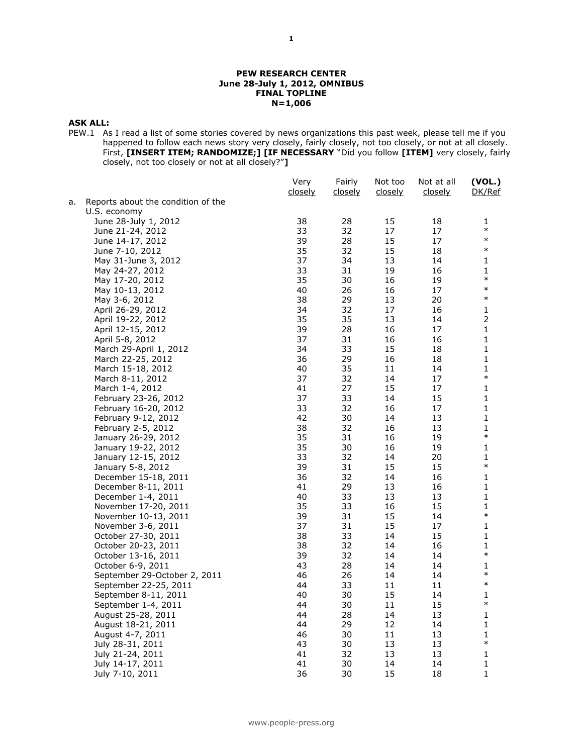#### **PEW RESEARCH CENTER June 28-July 1, 2012, OMNIBUS FINAL TOPLINE N=1,006**

#### **ASK ALL:**

PEW.1 As I read a list of some stories covered by news organizations this past week, please tell me if you happened to follow each news story very closely, fairly closely, not too closely, or not at all closely. First, **[INSERT ITEM; RANDOMIZE;] [IF NECESSARY** "Did you follow **[ITEM]** very closely, fairly closely, not too closely or not at all closely?"**]**

|    |                                    | Very<br>closely | Fairly<br>closely | Not too<br>closely | Not at all<br>closely | (VOL.)<br>DK/Ref                               |
|----|------------------------------------|-----------------|-------------------|--------------------|-----------------------|------------------------------------------------|
| а. | Reports about the condition of the |                 |                   |                    |                       |                                                |
|    | U.S. economy                       |                 |                   |                    |                       |                                                |
|    | June 28-July 1, 2012               | 38              | 28                | 15                 | 18                    | 1                                              |
|    | June 21-24, 2012                   | 33              | 32                | 17                 | 17                    | $\ast$                                         |
|    | June 14-17, 2012                   | 39              | 28                | 15                 | 17                    | $\ast$                                         |
|    | June 7-10, 2012                    | 35              | 32                | 15                 | 18                    | $\ast$                                         |
|    | May 31-June 3, 2012                | 37              | 34                | 13                 | 14                    | 1                                              |
|    | May 24-27, 2012                    | 33              | 31                | 19                 | 16                    | 1                                              |
|    | May 17-20, 2012                    | 35              | 30                | 16                 | 19                    | $\ast$                                         |
|    | May 10-13, 2012                    | 40              | 26                | 16                 | 17                    | $\ast$                                         |
|    | May 3-6, 2012                      | 38              | 29                | 13                 | 20                    | $\ast$                                         |
|    | April 26-29, 2012                  | 34              | 32                | 17                 | 16                    | 1                                              |
|    | April 19-22, 2012                  | 35              | 35                | 13                 | 14                    | $\overline{2}$                                 |
|    | April 12-15, 2012                  | 39              | 28                | 16                 | 17                    | 1                                              |
|    | April 5-8, 2012                    | 37              | 31                | 16                 | 16                    | 1                                              |
|    | March 29-April 1, 2012             | 34              | 33                | 15                 | 18                    | 1                                              |
|    | March 22-25, 2012                  | 36              | 29                | 16                 | 18                    | 1                                              |
|    | March 15-18, 2012                  | 40              | 35                | 11                 | 14                    | 1                                              |
|    | March 8-11, 2012                   | 37              | 32                | 14                 | 17                    | $\ast$                                         |
|    | March 1-4, 2012                    | 41              | 27                | 15                 | 17                    | 1                                              |
|    | February 23-26, 2012               | 37              | 33                | 14                 | 15                    | 1                                              |
|    | February 16-20, 2012               | 33              | 32                | 16                 | 17                    | 1                                              |
|    | February 9-12, 2012                | 42              | 30                | 14                 | 13                    | 1                                              |
|    | February 2-5, 2012                 | 38              | 32                | 16                 | 13                    | 1                                              |
|    | January 26-29, 2012                | 35              | 31                | 16                 | 19                    | $\ast$                                         |
|    | January 19-22, 2012                | 35              | 30                | 16                 | 19                    | 1                                              |
|    | January 12-15, 2012                | 33              | 32                | 14                 | 20                    | 1                                              |
|    | January 5-8, 2012                  | 39              | 31                | 15                 | 15                    | $\ast$                                         |
|    | December 15-18, 2011               | 36              | 32                | 14                 | 16                    | 1                                              |
|    | December 8-11, 2011                | 41              | 29                | 13                 | 16                    | 1                                              |
|    | December 1-4, 2011                 | 40              | 33                | 13                 | 13                    | 1                                              |
|    | November 17-20, 2011               | 35              | 33                | 16                 | 15                    | 1                                              |
|    | November 10-13, 2011               | 39              | 31                | 15                 | 14                    | $\ast$                                         |
|    | November 3-6, 2011                 | 37              | 31                | 15                 | 17                    | 1                                              |
|    | October 27-30, 2011                | 38              | 33                | 14                 | 15                    | 1                                              |
|    | October 20-23, 2011                | 38              | 32                | 14                 | 16                    | 1                                              |
|    | October 13-16, 2011                | 39              | 32                | 14                 | 14                    | $\ast$                                         |
|    | October 6-9, 2011                  | 43              | 28                | 14                 | 14                    | 1                                              |
|    | September 29-October 2, 2011       | 46              | 26                | 14                 | 14                    | $\ast$                                         |
|    | September 22-25, 2011              | 44              | 33                | 11                 | 11                    | $\ast$                                         |
|    | September 8-11, 2011               | 40              | 30                | 15                 | 14                    | 1                                              |
|    | September 1-4, 2011                | 44              | 30                | 11                 | 15                    | $\ast$                                         |
|    | August 25-28, 2011                 | 44              | 28                | 14                 | 13                    | 1                                              |
|    | August 18-21, 2011                 | 44              | 29                | 12                 | 14                    | 1                                              |
|    | August 4-7, 2011                   | 46              | 30                | 11                 | 13                    | 1                                              |
|    | July 28-31, 2011                   | 43              | 30                | 13                 | 13                    | $\ast$                                         |
|    | July 21-24, 2011                   | 41              | 32                | 13                 | 13                    | 1                                              |
|    | July 14-17, 2011                   | 41              | 30                | 14                 | 14                    | 1                                              |
|    | July 7-10, 2011                    | 36              | 30                | 15                 | 18                    | $\mathbf{1}% \in\mathbb{Z}_{+}^{d}[z,\bar{z}]$ |
|    |                                    |                 |                   |                    |                       |                                                |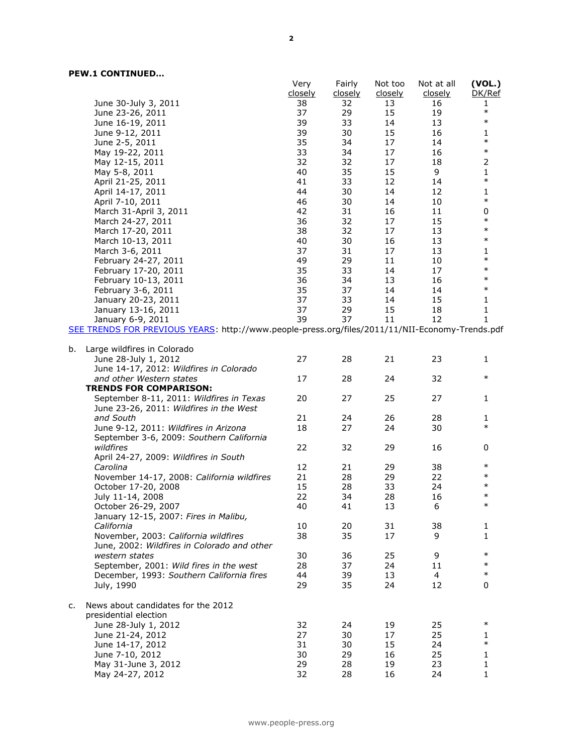|                                                                                                 | Very    | Fairly  | Not too        | Not at all | (VOL.)       |
|-------------------------------------------------------------------------------------------------|---------|---------|----------------|------------|--------------|
|                                                                                                 | closely | closely | <u>closely</u> | closely    | DK/Ref       |
| June 30-July 3, 2011                                                                            | 38      | 32      | 13             | 16         | 1            |
| June 23-26, 2011                                                                                | 37      | 29      | 15             | 19         | $\ast$       |
| June 16-19, 2011                                                                                | 39      | 33      | 14             | 13         | $\ast$       |
| June 9-12, 2011                                                                                 | 39      | 30      | 15             | 16         | 1            |
| June 2-5, 2011                                                                                  | 35      | 34      | 17             | 14         | $\ast$       |
| May 19-22, 2011                                                                                 | 33      | 34      | 17             | 16         | $\ast$       |
| May 12-15, 2011                                                                                 | 32      | 32      | 17             | 18         | 2            |
| May 5-8, 2011                                                                                   | 40      | 35      | 15             | 9          | 1            |
| April 21-25, 2011                                                                               | 41      | 33      | 12             | 14         | $\ast$       |
| April 14-17, 2011                                                                               | 44      | 30      | 14             | 12         | 1            |
| April 7-10, 2011                                                                                | 46      | 30      | 14             | 10         | $\ast$       |
| March 31-April 3, 2011                                                                          | 42      | 31      | 16             | 11         | 0            |
| March 24-27, 2011                                                                               | 36      | 32      | 17             | 15         | $\ast$       |
| March 17-20, 2011                                                                               | 38      | 32      | 17             | 13         | $\ast$       |
| March 10-13, 2011                                                                               | 40      | 30      | 16             | 13         | $\ast$       |
| March 3-6, 2011                                                                                 | 37      | 31      | 17             | 13         | 1            |
| February 24-27, 2011                                                                            | 49      | 29      | 11             | 10         | $\ast$       |
| February 17-20, 2011                                                                            | 35      | 33      | 14             | 17         | $\ast$       |
| February 10-13, 2011                                                                            | 36      | 34      | 13             | 16         | $\ast$       |
| February 3-6, 2011                                                                              | 35      | 37      | 14             | 14         | $\ast$       |
| January 20-23, 2011                                                                             | 37      | 33      | 14             | 15         | $\mathbf{1}$ |
| January 13-16, 2011                                                                             | 37      | 29      | 15             | 18         | 1            |
| January 6-9, 2011                                                                               | 39      | 37      | 11             | 12         | 1            |
| SEE TRENDS FOR PREVIOUS YEARS: http://www.people-press.org/files/2011/11/NII-Economy-Trends.pdf |         |         |                |            |              |
|                                                                                                 |         |         |                |            |              |
| Large wildfires in Colorado<br>b.                                                               |         |         |                |            |              |
| June 28-July 1, 2012                                                                            | 27      | 28      | 21             | 23         | $\mathbf{1}$ |
| June 14-17, 2012: Wildfires in Colorado                                                         |         |         |                |            |              |
| and other Western states                                                                        | 17      | 28      | 24             | 32         | $\ast$       |
| <b>TRENDS FOR COMPARISON:</b>                                                                   |         |         |                |            |              |
| September 8-11, 2011: Wildfires in Texas                                                        | 20      | 27      | 25             | 27         | 1            |
| June 23-26, 2011: Wildfires in the West                                                         |         |         |                |            |              |
| and South                                                                                       | 21      | 24      | 26             | 28         | 1            |
| June 9-12, 2011: Wildfires in Arizona                                                           | 18      | 27      | 24             | 30         | $\ast$       |
| September 3-6, 2009: Southern California                                                        |         |         |                |            |              |
| wildfires                                                                                       | 22      | 32      | 29             | 16         | 0            |
| April 24-27, 2009: Wildfires in South                                                           |         |         |                |            |              |
| Carolina                                                                                        | 12      | 21      | 29             | 38         | $\ast$       |
| November 14-17, 2008: California wildfires                                                      | 21      | 28      | 29             | 22         | $\ast$       |
|                                                                                                 | 15      | 28      | 33             | 24         | $\ast$       |
| October 17-20, 2008                                                                             | 22      | 34      | 28             | 16         | $\ast$       |
| July 11-14, 2008                                                                                |         |         |                |            | $\ast$       |
| October 26-29, 2007                                                                             | 40      | 41      | 13             | 6          |              |
| January 12-15, 2007: Fires in Malibu,                                                           |         |         |                |            |              |
| California                                                                                      | 10      | 20      | 31             | 38         | $\mathbf{1}$ |
| November, 2003: California wildfires                                                            | 38      | 35      | 17             | 9          | $\mathbf{1}$ |
| June, 2002: Wildfires in Colorado and other                                                     |         |         |                |            |              |
| western states                                                                                  | 30      | 36      | 25             | 9          | $\ast$       |
| September, 2001: Wild fires in the west                                                         | 28      | 37      | 24             | 11         | $\ast$       |
| December, 1993: Southern California fires                                                       | 44      | 39      | 13             | 4          | $\ast$       |
| July, 1990                                                                                      | 29      | 35      | 24             | 12         | 0            |
|                                                                                                 |         |         |                |            |              |
| News about candidates for the 2012<br>c.                                                        |         |         |                |            |              |
| presidential election                                                                           |         |         |                |            |              |
| June 28-July 1, 2012                                                                            | 32      | 24      | 19             | 25         | $\ast$       |
| June 21-24, 2012                                                                                | 27      | 30      | 17             | 25         | 1            |
| June 14-17, 2012                                                                                | 31      | 30      | 15             | 24         | $\ast$       |
| June 7-10, 2012                                                                                 | 30      | 29      | 16             | 25         | 1            |
| May 31-June 3, 2012                                                                             | 29      | 28      | 19             | 23         | 1            |
| May 24-27, 2012                                                                                 | 32      | 28      | 16             | 24         | 1            |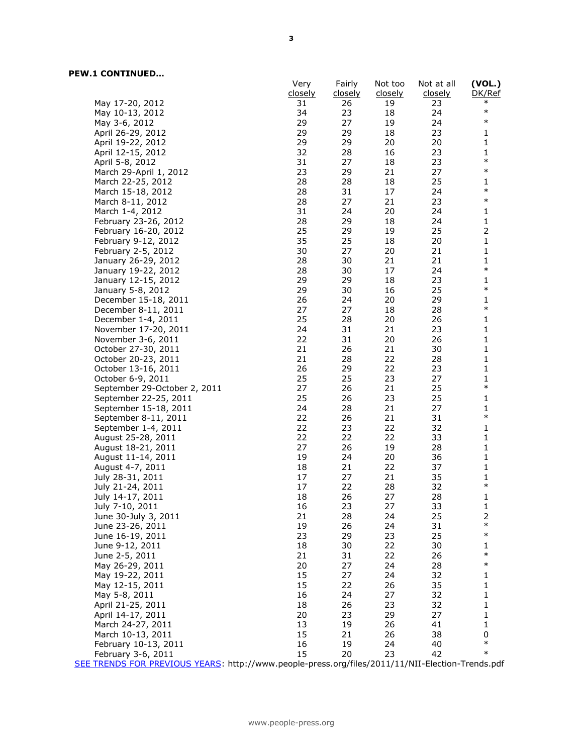|                                                                                                  | Very    | Fairly         | Not too        | Not at all     | (VOL.)                                                |
|--------------------------------------------------------------------------------------------------|---------|----------------|----------------|----------------|-------------------------------------------------------|
|                                                                                                  | closely | <u>closely</u> | <u>closely</u> | <u>closely</u> | DK/Ref                                                |
| May 17-20, 2012                                                                                  | 31      | 26             | 19             | 23             | $\ast$                                                |
| May 10-13, 2012                                                                                  | 34      | 23             | 18             | 24             | $\ast$                                                |
| May 3-6, 2012                                                                                    | 29      | 27             | 19             | 24             | $\ast$                                                |
| April 26-29, 2012                                                                                | 29      | 29             | 18             | 23             | 1                                                     |
| April 19-22, 2012                                                                                | 29      | 29             | 20             | 20             | 1                                                     |
| April 12-15, 2012                                                                                | 32      | 28             | 16             | 23             | 1                                                     |
| April 5-8, 2012                                                                                  | 31      | 27             | 18             | 23             | $\ast$                                                |
| March 29-April 1, 2012                                                                           | 23      | 29             | 21             | 27             | $\ast$                                                |
| March 22-25, 2012                                                                                | 28      | 28             | 18             | 25             | 1                                                     |
|                                                                                                  | 28      | 31             | 17             | 24             | $\ast$                                                |
| March 15-18, 2012                                                                                | 28      |                |                | 23             | $\ast$                                                |
| March 8-11, 2012                                                                                 |         | 27             | 21             |                |                                                       |
| March 1-4, 2012                                                                                  | 31      | 24             | 20             | 24             | 1                                                     |
| February 23-26, 2012                                                                             | 28      | 29             | 18             | 24             | 1                                                     |
| February 16-20, 2012                                                                             | 25      | 29             | 19             | 25             | 2                                                     |
| February 9-12, 2012                                                                              | 35      | 25             | 18             | 20             | 1                                                     |
| February 2-5, 2012                                                                               | 30      | 27             | 20             | 21             | $\mathbf{1}% \in\mathbb{Z}_{+}^{d}[z,\bar{z}]$        |
| January 26-29, 2012                                                                              | 28      | 30             | 21             | 21             | 1                                                     |
| January 19-22, 2012                                                                              | 28      | 30             | 17             | 24             | $\ast$                                                |
| January 12-15, 2012                                                                              | 29      | 29             | 18             | 23             | 1                                                     |
| January 5-8, 2012                                                                                | 29      | 30             | 16             | 25             | $\ast$                                                |
| December 15-18, 2011                                                                             | 26      | 24             | 20             | 29             | 1                                                     |
| December 8-11, 2011                                                                              | 27      | 27             | 18             | 28             | $\ast$                                                |
| December 1-4, 2011                                                                               | 25      | 28             | 20             | 26             | 1                                                     |
| November 17-20, 2011                                                                             | 24      | 31             | 21             | 23             | 1                                                     |
| November 3-6, 2011                                                                               | 22      | 31             | 20             | 26             | 1                                                     |
| October 27-30, 2011                                                                              | 21      | 26             | 21             | 30             | 1                                                     |
| October 20-23, 2011                                                                              | 21      | 28             | 22             | 28             | $\mathbf{1}% ^{T}=\mathbf{1}_{T}\times\mathbf{2}_{T}$ |
| October 13-16, 2011                                                                              | 26      | 29             | 22             | 23             | 1                                                     |
| October 6-9, 2011                                                                                | 25      | 25             | 23             | 27             | 1                                                     |
| September 29-October 2, 2011                                                                     | 27      | 26             | 21             | 25             | $\ast$                                                |
|                                                                                                  | 25      |                |                |                |                                                       |
| September 22-25, 2011                                                                            |         | 26             | 23             | 25             | 1                                                     |
| September 15-18, 2011                                                                            | 24      | 28             | 21             | 27             | 1<br>$\ast$                                           |
| September 8-11, 2011                                                                             | 22      | 26             | 21             | 31             |                                                       |
| September 1-4, 2011                                                                              | 22      | 23             | 22             | 32             | 1                                                     |
| August 25-28, 2011                                                                               | 22      | 22             | 22             | 33             | 1                                                     |
| August 18-21, 2011                                                                               | 27      | 26             | 19             | 28             | 1                                                     |
| August 11-14, 2011                                                                               | 19      | 24             | 20             | 36             | 1                                                     |
| August 4-7, 2011                                                                                 | 18      | 21             | 22             | 37             | 1                                                     |
| July 28-31, 2011                                                                                 | 17      | 27             | 21             | 35             | 1                                                     |
| July 21-24, 2011                                                                                 | 17      | 22             | 28             | 32             | $\ast$                                                |
| July 14-17, 2011                                                                                 | 18      | 26             | 27             | 28             | $\mathbf 1$                                           |
| July 7-10, 2011                                                                                  | 16      | 23             | 27             | 33             | 1                                                     |
| June 30-July 3, 2011                                                                             | 21      | 28             | 24             | 25             | 2                                                     |
| June 23-26, 2011                                                                                 | 19      | 26             | 24             | 31             | $\ast$                                                |
| June 16-19, 2011                                                                                 | 23      | 29             | 23             | 25             | $\ast$                                                |
| June 9-12, 2011                                                                                  | 18      | 30             | 22             | 30             | 1                                                     |
| June 2-5, 2011                                                                                   | 21      | 31             | 22             | 26             | $\ast$                                                |
| May 26-29, 2011                                                                                  | 20      | 27             | 24             | 28             | $\ast$                                                |
| May 19-22, 2011                                                                                  | 15      | 27             | 24             | 32             | 1                                                     |
| May 12-15, 2011                                                                                  | 15      | 22             | 26             | 35             | 1                                                     |
|                                                                                                  | 16      |                |                |                |                                                       |
| May 5-8, 2011                                                                                    |         | 24             | 27             | 32             | 1                                                     |
| April 21-25, 2011                                                                                | 18      | 26             | 23             | 32             | 1                                                     |
| April 14-17, 2011                                                                                | 20      | 23             | 29             | 27             | 1                                                     |
| March 24-27, 2011                                                                                | 13      | 19             | 26             | 41             | 1                                                     |
| March 10-13, 2011                                                                                | 15      | 21             | 26             | 38             | 0                                                     |
| February 10-13, 2011                                                                             | 16      | 19             | 24             | 40             | $\ast$                                                |
| February 3-6, 2011                                                                               | 15      | 20             | 23             | 42             | $\ast$                                                |
| SEE TRENDS FOR PREVIOUS YEARS: http://www.people-press.org/files/2011/11/NII-Election-Trends.pdf |         |                |                |                |                                                       |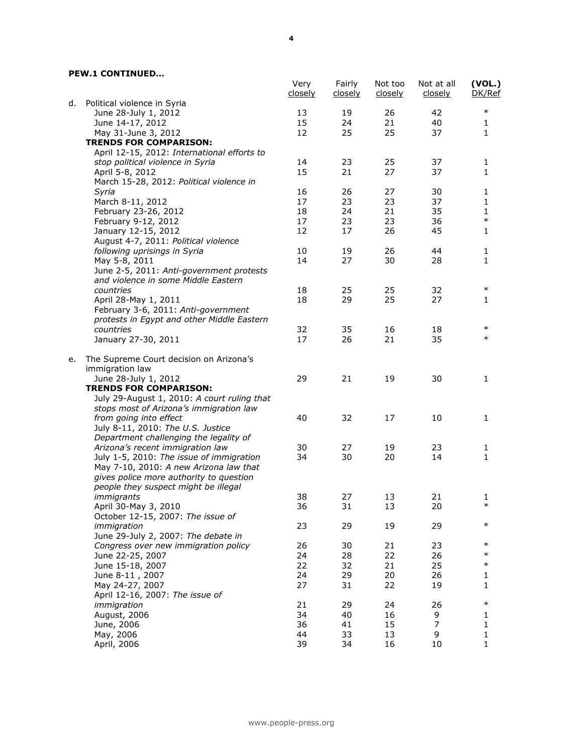|    |                                                             | Very<br><u>closely</u> | Fairly<br><u>closely</u> | Not too<br><u>closely</u> | Not at all<br>closely | (VOL.)<br>DK/Ref |
|----|-------------------------------------------------------------|------------------------|--------------------------|---------------------------|-----------------------|------------------|
| d. | Political violence in Syria                                 |                        |                          |                           |                       |                  |
|    | June 28-July 1, 2012                                        | 13                     | 19                       | 26                        | 42                    | $\ast$           |
|    | June 14-17, 2012                                            | 15                     | 24                       | 21                        | 40                    | 1                |
|    | May 31-June 3, 2012                                         | 12                     | 25                       | 25                        | 37                    | 1                |
|    | <b>TRENDS FOR COMPARISON:</b>                               |                        |                          |                           |                       |                  |
|    | April 12-15, 2012: International efforts to                 |                        |                          |                           |                       |                  |
|    | stop political violence in Syria                            | 14                     | 23                       | 25                        | 37                    | 1                |
|    | April 5-8, 2012                                             | 15                     | 21                       | 27                        | 37                    | $\mathbf{1}$     |
|    | March 15-28, 2012: Political violence in                    |                        |                          |                           |                       |                  |
|    | Syria                                                       | 16                     | 26                       | 27                        | 30                    | 1                |
|    | March 8-11, 2012                                            | 17                     | 23                       | 23                        | 37                    | 1                |
|    | February 23-26, 2012                                        | 18                     | 24                       | 21                        | 35                    | 1                |
|    | February 9-12, 2012                                         | 17                     | 23                       | 23                        | 36                    | $\ast$           |
|    | January 12-15, 2012                                         | 12                     | 17                       | 26                        | 45                    | 1                |
|    | August 4-7, 2011: Political violence                        |                        |                          |                           |                       |                  |
|    | following uprisings in Syria                                | 10                     | 19                       | 26                        | 44                    | 1                |
|    | May 5-8, 2011                                               | 14                     | 27                       | 30                        | 28                    | 1                |
|    | June 2-5, 2011: Anti-government protests                    |                        |                          |                           |                       |                  |
|    | and violence in some Middle Eastern                         |                        |                          |                           |                       |                  |
|    | countries                                                   | 18                     | 25                       | 25                        | 32                    | $\ast$           |
|    | April 28-May 1, 2011                                        | 18                     | 29                       | 25                        | 27                    | 1                |
|    | February 3-6, 2011: Anti-government                         |                        |                          |                           |                       |                  |
|    | protests in Egypt and other Middle Eastern                  |                        |                          |                           |                       |                  |
|    | countries                                                   | 32                     | 35                       | 16                        | 18                    | $\ast$           |
|    | January 27-30, 2011                                         | 17                     | 26                       | 21                        | 35                    | $\ast$           |
| е. | The Supreme Court decision on Arizona's                     |                        |                          |                           |                       |                  |
|    | immigration law                                             |                        |                          |                           |                       |                  |
|    | June 28-July 1, 2012                                        | 29                     | 21                       | 19                        | 30                    | 1                |
|    | <b>TRENDS FOR COMPARISON:</b>                               |                        |                          |                           |                       |                  |
|    | July 29-August 1, 2010: A court ruling that                 |                        |                          |                           |                       |                  |
|    | stops most of Arizona's immigration law                     | 40                     | 32                       | 17                        | 10                    |                  |
|    | from going into effect<br>July 8-11, 2010: The U.S. Justice |                        |                          |                           |                       | 1                |
|    |                                                             |                        |                          |                           |                       |                  |
|    | Department challenging the legality of                      |                        |                          |                           |                       |                  |
|    | Arizona's recent immigration law                            | 30                     | 27                       | 19                        | 23                    | 1                |
|    | July 1-5, 2010: The issue of immigration                    | 34                     | 30                       | 20                        | 14                    | 1                |
|    | May 7-10, 2010: A new Arizona law that                      |                        |                          |                           |                       |                  |
|    | gives police more authority to question                     |                        |                          |                           |                       |                  |
|    | people they suspect might be illegal                        |                        |                          |                           |                       |                  |
|    | <i>immigrants</i>                                           | 38                     | 27<br>31                 | 13<br>13                  | 21<br>20              | 1<br>$\ast$      |
|    | April 30-May 3, 2010                                        | 36                     |                          |                           |                       |                  |
|    | October 12-15, 2007: The issue of                           |                        |                          |                           |                       | $\ast$           |
|    | immigration                                                 | 23                     | 29                       | 19                        | 29                    |                  |
|    | June 29-July 2, 2007: The debate in                         |                        |                          |                           |                       | $\ast$           |
|    | Congress over new immigration policy                        | 26                     | 30                       | 21                        | 23                    | $\ast$           |
|    | June 22-25, 2007                                            | 24                     | 28                       | 22                        | 26                    |                  |
|    | June 15-18, 2007                                            | 22                     | 32                       | 21                        | 25                    | $\ast$           |
|    | June 8-11, 2007                                             | 24                     | 29                       | 20                        | 26                    | 1                |
|    | May 24-27, 2007                                             | 27                     | 31                       | 22                        | 19                    | 1                |
|    | April 12-16, 2007: The issue of                             |                        |                          |                           |                       |                  |
|    | immigration                                                 | 21                     | 29                       | 24                        | 26                    | $\ast$           |
|    | August, 2006                                                | 34                     | 40                       | 16                        | 9                     | 1                |
|    | June, 2006                                                  | 36                     | 41                       | 15                        | 7                     | 1                |
|    | May, 2006                                                   | 44                     | 33                       | 13                        | 9                     | $\mathbf 1$      |
|    | April, 2006                                                 | 39                     | 34                       | 16                        | 10                    | 1                |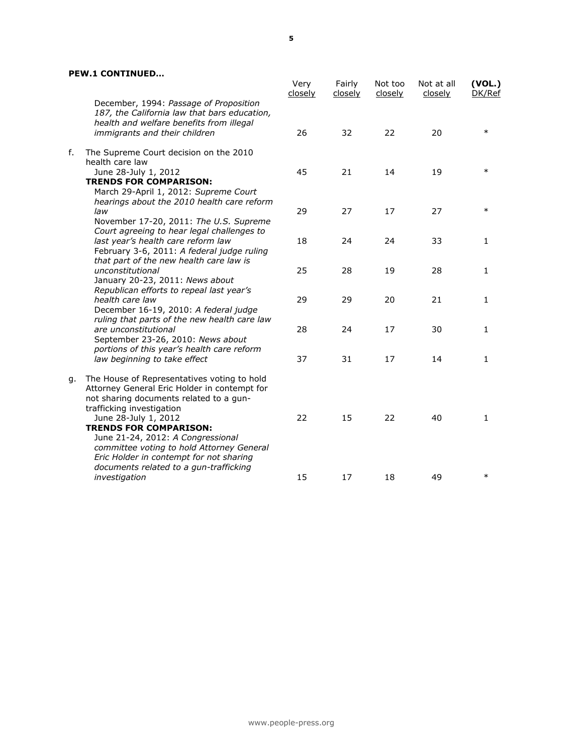|    |                                                                                                                                                                     | Very<br>closely | Fairly<br>closely | Not too<br>closely | Not at all<br>closely | (VOL.)<br>DK/Ref |
|----|---------------------------------------------------------------------------------------------------------------------------------------------------------------------|-----------------|-------------------|--------------------|-----------------------|------------------|
|    | December, 1994: Passage of Proposition<br>187, the California law that bars education,<br>health and welfare benefits from illegal<br>immigrants and their children | 26              | 32                | 22                 | 20                    | $\ast$           |
| f. | The Supreme Court decision on the 2010                                                                                                                              |                 |                   |                    |                       |                  |
|    | health care law                                                                                                                                                     |                 |                   |                    |                       |                  |
|    | June 28-July 1, 2012<br><b>TRENDS FOR COMPARISON:</b><br>March 29-April 1, 2012: Supreme Court                                                                      | 45              | 21                | 14                 | 19                    | $\ast$           |
|    | hearings about the 2010 health care reform<br>law                                                                                                                   | 29              | 27                | 17                 | 27                    | $\ast$           |
|    | November 17-20, 2011: The U.S. Supreme<br>Court agreeing to hear legal challenges to<br>last year's health care reform law                                          | 18              | 24                | 24                 | 33                    | 1                |
|    | February 3-6, 2011: A federal judge ruling<br>that part of the new health care law is                                                                               |                 |                   |                    |                       |                  |
|    | unconstitutional<br>January 20-23, 2011: News about                                                                                                                 | 25              | 28                | 19                 | 28                    | 1                |
|    | Republican efforts to repeal last year's<br>health care law<br>December 16-19, 2010: A federal judge                                                                | 29              | 29                | 20                 | 21                    | 1                |
|    | ruling that parts of the new health care law<br>are unconstitutional<br>September 23-26, 2010: News about                                                           | 28              | 24                | 17                 | 30                    | 1                |
|    | portions of this year's health care reform<br>law beginning to take effect                                                                                          | 37              | 31                | 17                 | 14                    | 1                |
| g. | The House of Representatives voting to hold<br>Attorney General Eric Holder in contempt for<br>not sharing documents related to a gun-<br>trafficking investigation |                 |                   |                    |                       |                  |
|    | June 28-July 1, 2012<br><b>TRENDS FOR COMPARISON:</b><br>June 21-24, 2012: A Congressional<br>committee voting to hold Attorney General                             | 22              | 15                | 22                 | 40                    | 1                |
|    | Eric Holder in contempt for not sharing<br>documents related to a gun-trafficking<br>investigation                                                                  | 15              | 17                | 18                 | 49                    | $\ast$           |
|    |                                                                                                                                                                     |                 |                   |                    |                       |                  |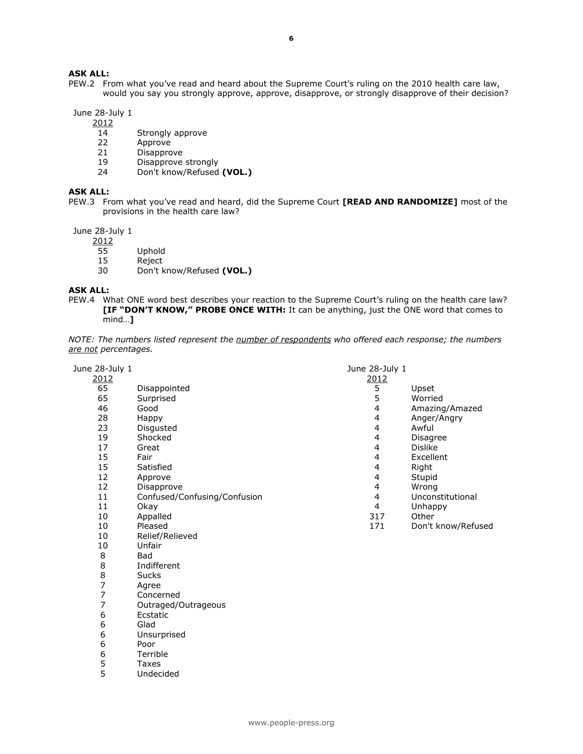# **ASK ALL:**

PEW.2 From what you've read and heard about the Supreme Court's ruling on the 2010 health care law, would you say you strongly approve, approve, disapprove, or strongly disapprove of their decision?

June 28-July 1

- 14 Strongly approve<br>22 Approve
- Approve
- Disapprove
- 19 Disapprove strongly<br>24 Don't know/Refused
- Don't know/Refused **(VOL.)**

#### **ASK ALL:**

PEW.3 From what you've read and heard, did the Supreme Court **[READ AND RANDOMIZE]** most of the provisions in the health care law?

June 28-July 1

- 
- 55 Uphold<br>15 Reject
- Reject
- Don't know/Refused **(VOL.)**

#### **ASK ALL:**

PEW.4 What ONE word best describes your reaction to the Supreme Court's ruling on the health care law? **[IF "DON'T KNOW," PROBE ONCE WITH:** It can be anything, just the ONE word that comes to mind…**]** 

| NOTE: The numbers listed represent the number of respondents who offered each response; the numbers |  |  |  |  |  |  |
|-----------------------------------------------------------------------------------------------------|--|--|--|--|--|--|
| <u>are not</u> percentages.                                                                         |  |  |  |  |  |  |

| June 28-July 1 |                              | June 28-July 1 |                    |
|----------------|------------------------------|----------------|--------------------|
| 2012           |                              | 2012           |                    |
| 65             | Disappointed                 | 5              | Upset              |
| 65             | Surprised                    | 5              | Worried            |
| 46             | Good                         | 4              | Amazing/Amazed     |
| 28             | Happy                        | 4              | Anger/Angry        |
| 23             | Disgusted                    | 4              | Awful              |
| 19             | Shocked                      | 4              | <b>Disagree</b>    |
| 17             | Great                        | 4              | <b>Dislike</b>     |
| 15             | Fair                         | $\overline{4}$ | Excellent          |
| 15             | Satisfied                    | 4              | Right              |
| 12             | Approve                      | 4              | Stupid             |
| 12             | Disapprove                   | 4              | Wrong              |
| 11             | Confused/Confusing/Confusion | 4              | Unconstitutional   |
| 11             | Okay                         | 4              | Unhappy            |
| 10             | Appalled                     | 317            | Other              |
| 10             | Pleased                      | 171            | Don't know/Refused |
| 10             | Relief/Relieved              |                |                    |
| 10             | Unfair                       |                |                    |
| 8              | <b>Bad</b>                   |                |                    |
| 8              | Indifferent                  |                |                    |
| 8              | <b>Sucks</b>                 |                |                    |
| 7              | Agree                        |                |                    |
| 7              | Concerned                    |                |                    |
| 7              | Outraged/Outrageous          |                |                    |
| 6              | Ecstatic                     |                |                    |
| 6              | Glad                         |                |                    |
| 6              | Unsurprised                  |                |                    |
| 6              | Poor                         |                |                    |
| 6              | Terrible                     |                |                    |
| 5              | Taxes                        |                |                    |
| 5              | Undecided                    |                |                    |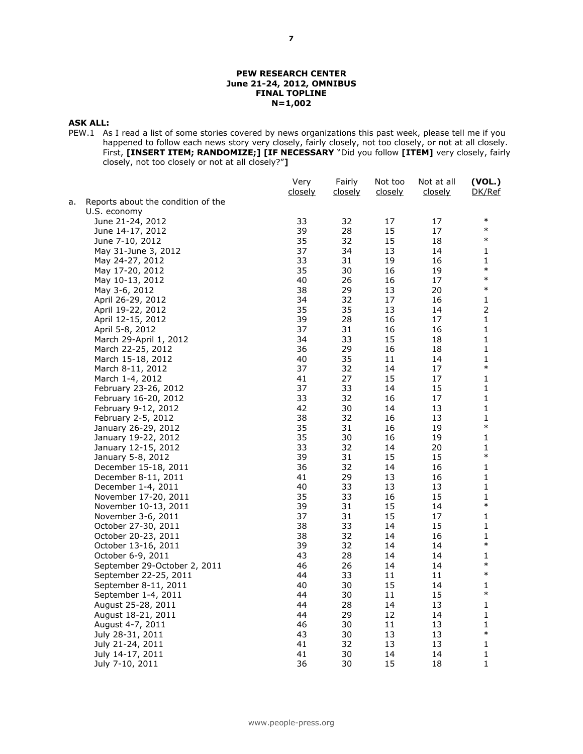#### **PEW RESEARCH CENTER June 21-24, 2012, OMNIBUS FINAL TOPLINE N=1,002**

#### **ASK ALL:**

PEW.1 As I read a list of some stories covered by news organizations this past week, please tell me if you happened to follow each news story very closely, fairly closely, not too closely, or not at all closely. First, **[INSERT ITEM; RANDOMIZE;] [IF NECESSARY** "Did you follow **[ITEM]** very closely, fairly closely, not too closely or not at all closely?"**]**

|    |                                    | Very<br>closely | Fairly<br>closely | Not too<br>closely | Not at all<br><u>closely</u> | (VOL.)<br>DK/Ref |
|----|------------------------------------|-----------------|-------------------|--------------------|------------------------------|------------------|
| a. | Reports about the condition of the |                 |                   |                    |                              |                  |
|    | U.S. economy                       |                 |                   |                    |                              |                  |
|    | June 21-24, 2012                   | 33              | 32                | 17                 | 17                           | $\ast$           |
|    | June 14-17, 2012                   | 39              | 28                | 15                 | 17                           | $\ast$           |
|    | June 7-10, 2012                    | 35              | 32                | 15                 | 18                           | $\ast$           |
|    | May 31-June 3, 2012                | 37              | 34                | 13                 | 14                           | 1                |
|    | May 24-27, 2012                    | 33              | 31                | 19                 | 16                           | 1                |
|    | May 17-20, 2012                    | 35              | 30                | 16                 | 19                           | $\ast$           |
|    | May 10-13, 2012                    | 40              | 26                | 16                 | 17                           | $\ast$           |
|    | May 3-6, 2012                      | 38              | 29                | 13                 | 20                           | $\ast$           |
|    | April 26-29, 2012                  | 34              | 32                | 17                 | 16                           | 1                |
|    | April 19-22, 2012                  | 35              | 35                | 13                 | 14                           | $\overline{2}$   |
|    | April 12-15, 2012                  | 39              | 28                | 16                 | 17                           | 1                |
|    | April 5-8, 2012                    | 37              | 31                | 16                 | 16                           | 1                |
|    | March 29-April 1, 2012             | 34              | 33                | 15                 | 18                           | 1                |
|    | March 22-25, 2012                  | 36              | 29                | 16                 | 18                           | 1                |
|    | March 15-18, 2012                  | 40              | 35                | 11                 | 14                           | 1                |
|    | March 8-11, 2012                   | 37              | 32                | 14                 | 17                           | $\ast$           |
|    | March 1-4, 2012                    | 41              | 27                | 15                 | 17                           | 1                |
|    | February 23-26, 2012               | 37              | 33                | 14                 | 15                           | 1                |
|    | February 16-20, 2012               | 33              | 32                | 16                 | 17                           | 1                |
|    | February 9-12, 2012                | 42              | 30                | 14                 | 13                           | 1                |
|    | February 2-5, 2012                 | 38              | 32                | 16                 | 13                           | 1                |
|    | January 26-29, 2012                | 35              | 31                | 16                 | 19                           | $\ast$           |
|    | January 19-22, 2012                | 35              | 30                | 16                 | 19                           | 1                |
|    | January 12-15, 2012                | 33              | 32                | 14                 | 20                           | 1                |
|    | January 5-8, 2012                  | 39              | 31                | 15                 | 15                           | $\ast$           |
|    | December 15-18, 2011               | 36              | 32                | 14                 | 16                           | 1                |
|    | December 8-11, 2011                | 41              | 29                | 13                 | 16                           | 1                |
|    | December 1-4, 2011                 | 40              | 33                | 13                 | 13                           | 1                |
|    | November 17-20, 2011               | 35              | 33                | 16                 | 15                           | 1                |
|    | November 10-13, 2011               | 39              | 31                | 15                 | 14                           | $\ast$           |
|    | November 3-6, 2011                 | 37              | 31                | 15                 | 17                           | 1                |
|    | October 27-30, 2011                | 38              | 33                | 14                 | 15                           | 1                |
|    | October 20-23, 2011                | 38              | 32                | 14                 | 16                           | 1                |
|    | October 13-16, 2011                | 39              | 32                | 14                 | 14                           | $\ast$           |
|    | October 6-9, 2011                  | 43              | 28                | 14                 | 14                           | 1                |
|    | September 29-October 2, 2011       | 46              | 26                | 14                 | 14                           | $\ast$           |
|    | September 22-25, 2011              | 44              | 33                | 11                 | 11                           | $\ast$           |
|    | September 8-11, 2011               | 40              | 30                | 15                 | 14                           | 1                |
|    | September 1-4, 2011                | 44              | 30                | 11                 | 15                           | $\ast$           |
|    | August 25-28, 2011                 | 44              | 28                | 14                 | 13                           | 1                |
|    | August 18-21, 2011                 | 44              | 29                | 12                 | 14                           | 1                |
|    | August 4-7, 2011                   | 46              | 30                | 11                 | 13                           | 1                |
|    | July 28-31, 2011                   | 43              | 30                | 13                 | 13                           | $\ast$           |
|    | July 21-24, 2011                   | 41              | 32                | 13                 | 13                           | 1                |
|    | July 14-17, 2011                   | 41              | 30                | 14                 | 14                           | $\mathbf 1$      |
|    | July 7-10, 2011                    | 36              | 30                | 15                 | 18                           | 1                |
|    |                                    |                 |                   |                    |                              |                  |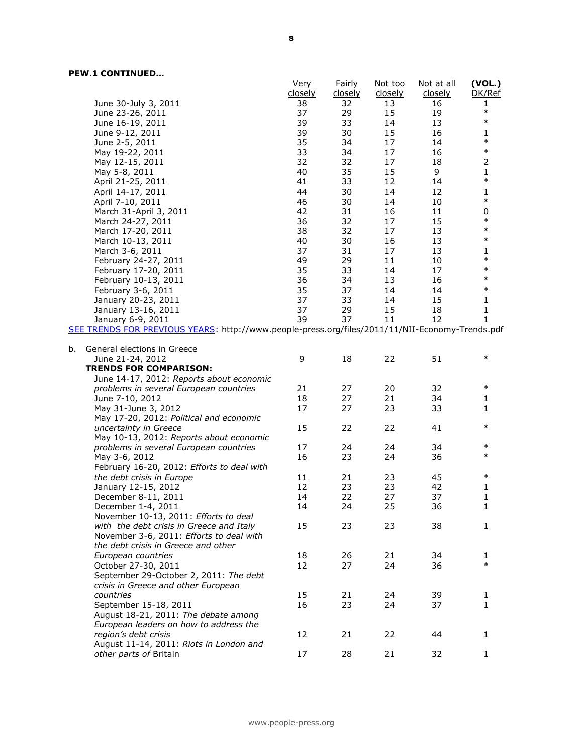|    |                                                                                                 | Very    | Fairly  | Not too        | Not at all | (VOL.)           |
|----|-------------------------------------------------------------------------------------------------|---------|---------|----------------|------------|------------------|
|    |                                                                                                 | closely | closely | <u>closely</u> | closely    | DK/Ref           |
|    | June 30-July 3, 2011                                                                            | 38      | 32      | 13             | 16         | 1                |
|    | June 23-26, 2011                                                                                | 37      | 29      | 15             | 19         | $\ast$<br>$\ast$ |
|    | June 16-19, 2011                                                                                | 39      | 33      | 14             | 13         |                  |
|    | June 9-12, 2011                                                                                 | 39      | 30      | 15             | 16         | 1                |
|    | June 2-5, 2011                                                                                  | 35      | 34      | 17             | 14         | $\ast$           |
|    | May 19-22, 2011                                                                                 | 33      | 34      | 17             | 16         | $\ast$           |
|    | May 12-15, 2011                                                                                 | 32      | 32      | 17             | 18         | $\mathbf 2$      |
|    | May 5-8, 2011                                                                                   | 40      | 35      | 15             | 9          | $\mathbf 1$      |
|    | April 21-25, 2011                                                                               | 41      | 33      | 12             | 14         | $\ast$           |
|    | April 14-17, 2011                                                                               | 44      | 30      | 14             | 12         | 1                |
|    | April 7-10, 2011                                                                                | 46      | 30      | 14             | 10         | $\ast$           |
|    | March 31-April 3, 2011                                                                          | 42      | 31      | 16             | 11         | 0                |
|    | March 24-27, 2011                                                                               | 36      | 32      | 17             | 15         | $\ast$           |
|    | March 17-20, 2011                                                                               | 38      | 32      | 17             | 13         | $\ast$           |
|    | March 10-13, 2011                                                                               | 40      | 30      | 16             | 13         | $\ast$           |
|    | March 3-6, 2011                                                                                 | 37      | 31      | 17             | 13         | 1                |
|    | February 24-27, 2011                                                                            | 49      | 29      | 11             | 10         | $\ast$           |
|    | February 17-20, 2011                                                                            | 35      | 33      | 14             | 17         | $\ast$           |
|    | February 10-13, 2011                                                                            | 36      | 34      | 13             | 16         | $\ast$           |
|    | February 3-6, 2011                                                                              | 35      | 37      | 14             | 14         | $\ast$           |
|    | January 20-23, 2011                                                                             | 37      | 33      | 14             | 15         | 1                |
|    | January 13-16, 2011                                                                             | 37      | 29      | 15             | 18         | $\mathbf 1$      |
|    | January 6-9, 2011                                                                               | 39      | 37      | 11             | 12         | 1                |
|    | SEE TRENDS FOR PREVIOUS YEARS: http://www.people-press.org/files/2011/11/NII-Economy-Trends.pdf |         |         |                |            |                  |
|    |                                                                                                 |         |         |                |            |                  |
| b. | General elections in Greece                                                                     |         |         |                |            | $\ast$           |
|    | June 21-24, 2012                                                                                | 9       | 18      | 22             | 51         |                  |
|    | <b>TRENDS FOR COMPARISON:</b>                                                                   |         |         |                |            |                  |
|    | June 14-17, 2012: Reports about economic                                                        |         |         |                |            | $\ast$           |
|    | problems in several European countries                                                          | 21      | 27      | 20             | 32         |                  |
|    | June 7-10, 2012                                                                                 | 18      | 27      | 21             | 34         | 1                |
|    | May 31-June 3, 2012                                                                             | 17      | 27      | 23             | 33         | 1                |
|    | May 17-20, 2012: Political and economic                                                         |         |         |                |            | $\ast$           |
|    | uncertainty in Greece                                                                           | 15      | 22      | 22             | 41         |                  |
|    | May 10-13, 2012: Reports about economic                                                         |         |         |                |            | $\ast$           |
|    | problems in several European countries                                                          | 17      | 24      | 24             | 34         | $\ast$           |
|    | May 3-6, 2012                                                                                   | 16      | 23      | 24             | 36         |                  |
|    | February 16-20, 2012: Efforts to deal with                                                      |         |         |                |            | $\ast$           |
|    | the debt crisis in Europe                                                                       | 11      | 21      | 23             | 45         |                  |
|    | January 12-15, 2012                                                                             | 12      | 23      | 23             | 42         | 1                |
|    | December 8-11, 2011                                                                             | 14      | 22      | 27             | 37         | 1                |
|    | December 1-4, 2011                                                                              | 14      | 24      | 25             | 36         | 1                |
|    | November 10-13, 2011: Efforts to deal                                                           |         |         |                |            |                  |
|    | with the debt crisis in Greece and Italy                                                        | 15      | 23      | 23             | 38         | 1                |
|    | November 3-6, 2011: Efforts to deal with                                                        |         |         |                |            |                  |
|    | the debt crisis in Greece and other                                                             |         |         |                |            |                  |
|    | European countries                                                                              | 18      | 26      | 21             | 34         | 1<br>$\ast$      |
|    | October 27-30, 2011                                                                             | 12      | 27      | 24             | 36         |                  |
|    | September 29-October 2, 2011: The debt                                                          |         |         |                |            |                  |
|    | crisis in Greece and other European                                                             |         |         |                |            |                  |
|    | countries                                                                                       | 15      | 21      | 24             | 39         | 1                |
|    | September 15-18, 2011                                                                           | 16      | 23      | 24             | 37         | 1                |
|    | August 18-21, 2011: The debate among                                                            |         |         |                |            |                  |
|    | European leaders on how to address the                                                          |         |         |                |            |                  |
|    | region's debt crisis                                                                            | 12      | 21      | 22             | 44         | 1                |
|    | August 11-14, 2011: Riots in London and                                                         |         |         |                |            |                  |
|    | other parts of Britain                                                                          | 17      | 28      | 21             | 32         | 1                |
|    |                                                                                                 |         |         |                |            |                  |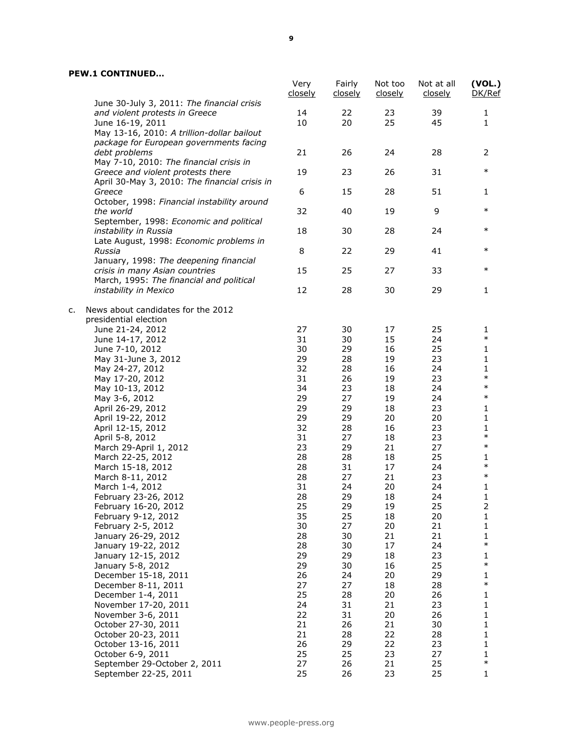|    | June 30-July 3, 2011: The financial crisis                                                          | Very<br>closely | Fairly<br>closely | Not too<br>closely | Not at all<br>closely | (VOL.)<br>DK/Ref      |
|----|-----------------------------------------------------------------------------------------------------|-----------------|-------------------|--------------------|-----------------------|-----------------------|
|    | and violent protests in Greece<br>June 16-19, 2011<br>May 13-16, 2010: A trillion-dollar bailout    | 14<br>10        | 22<br>20          | 23<br>25           | 39<br>45              | 1<br>1                |
|    | package for European governments facing<br>debt problems<br>May 7-10, 2010: The financial crisis in | 21              | 26                | 24                 | 28                    | 2                     |
|    | Greece and violent protests there<br>April 30-May 3, 2010: The financial crisis in                  | 19              | 23                | 26                 | 31                    | $\ast$                |
|    | Greece                                                                                              | 6               | 15                | 28                 | 51                    | 1                     |
|    | October, 1998: Financial instability around<br>the world                                            | 32              | 40                | 19                 | 9                     | $\ast$                |
|    | September, 1998: Economic and political<br>instability in Russia                                    | 18              | 30                | 28                 | 24                    | $\ast$                |
|    | Late August, 1998: Economic problems in<br>Russia                                                   | 8               | 22                | 29                 | 41                    | $\ast$                |
|    | January, 1998: The deepening financial<br>crisis in many Asian countries                            | 15              | 25                | 27                 | 33                    | $\ast$                |
|    | March, 1995: The financial and political<br>instability in Mexico                                   | 12              | 28                | 30                 | 29                    | $\mathbf{1}$          |
| c. | News about candidates for the 2012<br>presidential election                                         |                 |                   |                    |                       |                       |
|    | June 21-24, 2012                                                                                    | 27              | 30                | 17                 | 25                    | 1                     |
|    | June 14-17, 2012                                                                                    | 31              | 30                | 15                 | 24                    | $\ast$                |
|    | June 7-10, 2012                                                                                     | 30              | 29                | 16                 | 25                    | 1                     |
|    | May 31-June 3, 2012                                                                                 | 29              | 28                | 19                 | 23                    | 1                     |
|    | May 24-27, 2012<br>May 17-20, 2012                                                                  | 32<br>31        | 28<br>26          | 16<br>19           | 24<br>23              | 1<br>$\ast$           |
|    |                                                                                                     | 34              | 23                | 18                 | 24                    | $\ast$                |
|    | May 10-13, 2012<br>May 3-6, 2012                                                                    | 29              | 27                | 19                 | 24                    | $\ast$                |
|    |                                                                                                     |                 |                   |                    |                       |                       |
|    | April 26-29, 2012                                                                                   | 29              | 29                | 18                 | 23                    | 1                     |
|    | April 19-22, 2012                                                                                   | 29              | 29                | 20                 | 20                    | 1                     |
|    | April 12-15, 2012                                                                                   | 32              | 28                | 16                 | 23                    | $\mathbf 1$<br>$\ast$ |
|    | April 5-8, 2012                                                                                     | 31              | 27                | 18                 | 23                    |                       |
|    | March 29-April 1, 2012                                                                              | 23              | 29                | 21                 | 27                    | $\ast$                |
|    | March 22-25, 2012                                                                                   | 28              | 28                | 18                 | 25                    | 1                     |
|    | March 15-18, 2012                                                                                   | 28              | 31                | 17                 | 24                    | $\ast$                |
|    | March 8-11, 2012                                                                                    | 28              | 27                | 21                 | 23                    | $\ast$                |
|    | March 1-4, 2012                                                                                     | 31              | 24                | 20                 | 24                    | 1                     |
|    | February 23-26, 2012                                                                                | 28              | 29                | 18                 | 24                    | $\mathbf 1$           |
|    | February 16-20, 2012                                                                                | 25              | 29                | 19                 | 25                    | $\mathcal{P}$         |
|    | February 9-12, 2012                                                                                 | 35              | 25                | 18                 | 20                    | 1                     |
|    | February 2-5, 2012                                                                                  | 30              | 27                | 20                 | 21                    | 1                     |
|    | January 26-29, 2012                                                                                 | 28              | 30                | 21                 | 21                    | 1                     |
|    | January 19-22, 2012                                                                                 | 28              | 30                | 17                 | 24                    | $\ast$                |
|    | January 12-15, 2012                                                                                 | 29              | 29                | 18                 | 23                    | 1                     |
|    | January 5-8, 2012                                                                                   | 29              | 30                | 16                 | 25                    | $\ast$                |
|    | December 15-18, 2011                                                                                | 26              | 24                | 20                 | 29                    | 1                     |
|    | December 8-11, 2011                                                                                 | 27              | 27                | 18                 | 28                    | $\ast$                |
|    | December 1-4, 2011                                                                                  | 25              | 28                | 20                 | 26                    | 1                     |
|    | November 17-20, 2011                                                                                | 24              | 31                | 21                 | 23                    | 1                     |
|    | November 3-6, 2011                                                                                  | 22              | 31                | 20                 | 26                    | 1                     |
|    | October 27-30, 2011                                                                                 | 21              | 26                | 21                 | 30                    | 1                     |
|    | October 20-23, 2011                                                                                 | 21              | 28                | 22                 | 28                    | 1                     |
|    | October 13-16, 2011                                                                                 | 26              | 29                | 22                 | 23                    | 1                     |
|    | October 6-9, 2011                                                                                   | 25              | 25                | 23                 | 27                    | 1                     |
|    | September 29-October 2, 2011                                                                        | 27              | 26                | 21                 | 25                    | $\ast$                |
|    | September 22-25, 2011                                                                               | 25              | 26                | 23                 | 25                    | 1                     |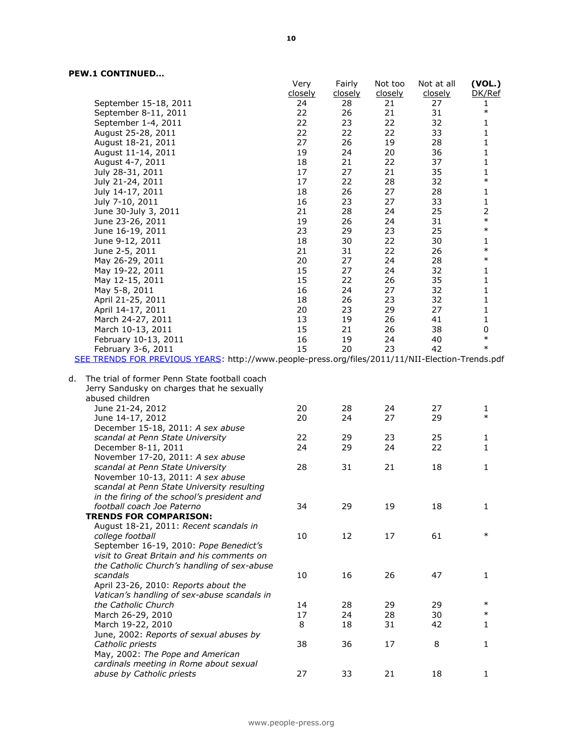|    |                                                                                                                | Very<br>closely | Fairly<br><u>closely</u> | Not too<br>closely | Not at all<br>closely | (VOL.)<br>DK/Ref         |
|----|----------------------------------------------------------------------------------------------------------------|-----------------|--------------------------|--------------------|-----------------------|--------------------------|
|    | September 15-18, 2011                                                                                          | 24              | 28                       | 21                 | 27                    | 1                        |
|    | September 8-11, 2011                                                                                           | 22              | 26                       | 21                 | 31                    | $\ast$                   |
|    |                                                                                                                | 22              | 23                       | 22                 | 32                    | 1                        |
|    | September 1-4, 2011                                                                                            | 22              | 22                       |                    | 33                    | $\mathbf{1}$             |
|    | August 25-28, 2011<br>August 18-21, 2011                                                                       | 27              | 26                       | 22<br>19           | 28                    | $\mathbf{1}$             |
|    |                                                                                                                |                 |                          |                    |                       |                          |
|    | August 11-14, 2011                                                                                             | 19              | 24                       | 20                 | 36                    | $\mathbf{1}$             |
|    | August 4-7, 2011                                                                                               | 18              | 21                       | 22                 | 37                    | $\mathbf{1}$             |
|    | July 28-31, 2011                                                                                               | 17              | 27                       | 21                 | 35                    | $\mathbf{1}$<br>$\ast$   |
|    | July 21-24, 2011                                                                                               | 17              | 22                       | 28                 | 32                    |                          |
|    | July 14-17, 2011                                                                                               | 18              | 26                       | 27                 | 28                    | 1                        |
|    | July 7-10, 2011                                                                                                | 16              | 23                       | 27                 | 33                    | $\mathbf{1}$             |
|    | June 30-July 3, 2011                                                                                           | 21              | 28                       | 24                 | 25                    | $\overline{2}$<br>$\ast$ |
|    | June 23-26, 2011                                                                                               | 19              | 26                       | 24                 | 31                    | $\ast$                   |
|    | June 16-19, 2011                                                                                               | 23              | 29                       | 23                 | 25                    |                          |
|    | June 9-12, 2011                                                                                                | 18              | 30                       | 22                 | 30                    | $\mathbf{1}$<br>$\ast$   |
|    | June 2-5, 2011                                                                                                 | 21              | 31                       | 22                 | 26                    |                          |
|    | May 26-29, 2011                                                                                                | 20              | 27                       | 24                 | 28                    | $\ast$                   |
|    | May 19-22, 2011                                                                                                | 15              | 27                       | 24                 | 32                    | 1                        |
|    | May 12-15, 2011                                                                                                | 15              | 22                       | 26                 | 35                    | $\mathbf{1}$             |
|    | May 5-8, 2011                                                                                                  | 16              | 24                       | 27                 | 32                    | $\mathbf{1}$             |
|    | April 21-25, 2011                                                                                              | 18              | 26                       | 23                 | 32                    | $\mathbf{1}$             |
|    | April 14-17, 2011                                                                                              | 20              | 23                       | 29                 | 27                    | 1                        |
|    | March 24-27, 2011                                                                                              | 13              | 19                       | 26                 | 41                    | $\mathbf{1}$             |
|    | March 10-13, 2011                                                                                              | 15              | 21                       | 26                 | 38                    | 0                        |
|    | February 10-13, 2011                                                                                           | 16              | 19                       | 24                 | 40                    | $\ast$                   |
|    | February 3-6, 2011                                                                                             | 15              | 20                       | 23                 | 42                    | $\ast$                   |
|    | SEE TRENDS FOR PREVIOUS YEARS: http://www.people-press.org/files/2011/11/NII-Election-Trends.pdf               |                 |                          |                    |                       |                          |
| d. | The trial of former Penn State football coach<br>Jerry Sandusky on charges that he sexually<br>abused children |                 |                          |                    |                       |                          |
|    | June 21-24, 2012                                                                                               | 20              | 28                       | 24                 | 27                    | 1                        |
|    | June 14-17, 2012                                                                                               | 20              | 24                       | 27                 | 29                    | $\ast$                   |
|    | December 15-18, 2011: A sex abuse                                                                              |                 |                          |                    |                       |                          |
|    | scandal at Penn State University                                                                               | 22              | 29                       | 23                 | 25                    | 1                        |
|    | December 8-11, 2011                                                                                            | 24              | 29                       | 24                 | 22                    | 1                        |
|    | November 17-20, 2011: A sex abuse                                                                              |                 |                          |                    |                       |                          |
|    | scandal at Penn State University                                                                               | 28              | 31                       | 21                 | 18                    | $\mathbf{1}$             |
|    | November 10-13, 2011: A sex abuse                                                                              |                 |                          |                    |                       |                          |
|    | scandal at Penn State University resulting                                                                     |                 |                          |                    |                       |                          |
|    | in the firing of the school's president and                                                                    |                 |                          |                    |                       |                          |
|    | football coach Joe Paterno                                                                                     | 34              | 29                       | 19                 | 18                    | 1                        |
|    | <b>TRENDS FOR COMPARISON:</b>                                                                                  |                 |                          |                    |                       |                          |
|    | August 18-21, 2011: Recent scandals in                                                                         |                 |                          |                    |                       |                          |
|    | college football                                                                                               | 10              | 12                       | 17                 | 61                    | $\ast$                   |
|    | September 16-19, 2010: Pope Benedict's                                                                         |                 |                          |                    |                       |                          |
|    | visit to Great Britain and his comments on                                                                     |                 |                          |                    |                       |                          |
|    | the Catholic Church's handling of sex-abuse                                                                    |                 |                          |                    |                       |                          |
|    | scandals                                                                                                       | 10              | 16                       | 26                 | 47                    | 1                        |
|    | April 23-26, 2010: Reports about the                                                                           |                 |                          |                    |                       |                          |
|    | Vatican's handling of sex-abuse scandals in                                                                    |                 |                          |                    |                       |                          |
|    | the Catholic Church                                                                                            | 14              | 28                       | 29                 | 29                    | $\ast$                   |
|    | March 26-29, 2010                                                                                              | 17              | 24                       | 28                 | 30                    | $\ast$                   |
|    | March 19-22, 2010                                                                                              | 8               | 18                       | 31                 | 42                    | 1                        |
|    | June, 2002: Reports of sexual abuses by                                                                        |                 |                          |                    |                       |                          |
|    | Catholic priests                                                                                               | 38              | 36                       | 17                 | 8                     | 1                        |
|    | May, 2002: The Pope and American                                                                               |                 |                          |                    |                       |                          |
|    | cardinals meeting in Rome about sexual                                                                         |                 |                          |                    |                       |                          |
|    | abuse by Catholic priests                                                                                      | 27              | 33                       | 21                 | 18                    | $\mathbf{1}$             |
|    |                                                                                                                |                 |                          |                    |                       |                          |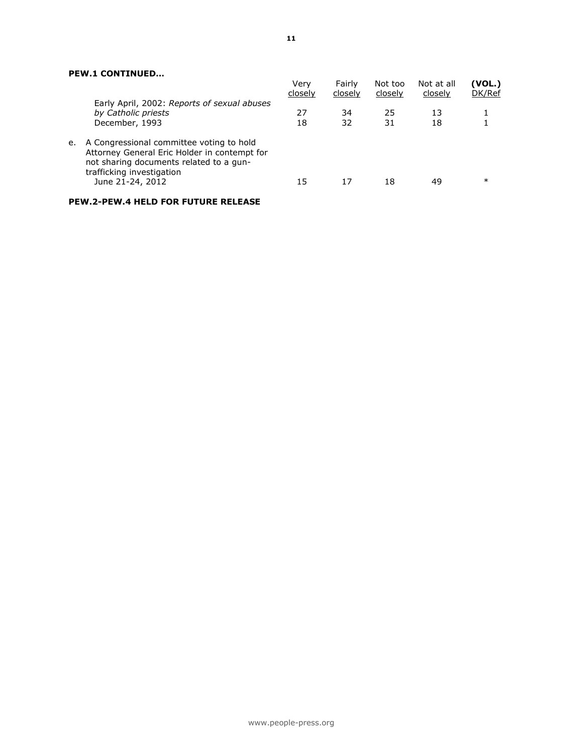|    |                                                                                                                                                                                      | Verv<br>closely | Fairly<br>closely | Not too<br>closely | Not at all<br>closely | (VOL.)<br>DK/Ref |
|----|--------------------------------------------------------------------------------------------------------------------------------------------------------------------------------------|-----------------|-------------------|--------------------|-----------------------|------------------|
|    | Early April, 2002: Reports of sexual abuses<br>by Catholic priests<br>December, 1993                                                                                                 | 27<br>18        | 34<br>32          | 25<br>31           | 13<br>18              |                  |
| e. | A Congressional committee voting to hold<br>Attorney General Eric Holder in contempt for<br>not sharing documents related to a gun-<br>trafficking investigation<br>June 21-24, 2012 | 15              | 17                | 18                 | 49                    | $\ast$           |
|    |                                                                                                                                                                                      |                 |                   |                    |                       |                  |

# **PEW.2-PEW.4 HELD FOR FUTURE RELEASE**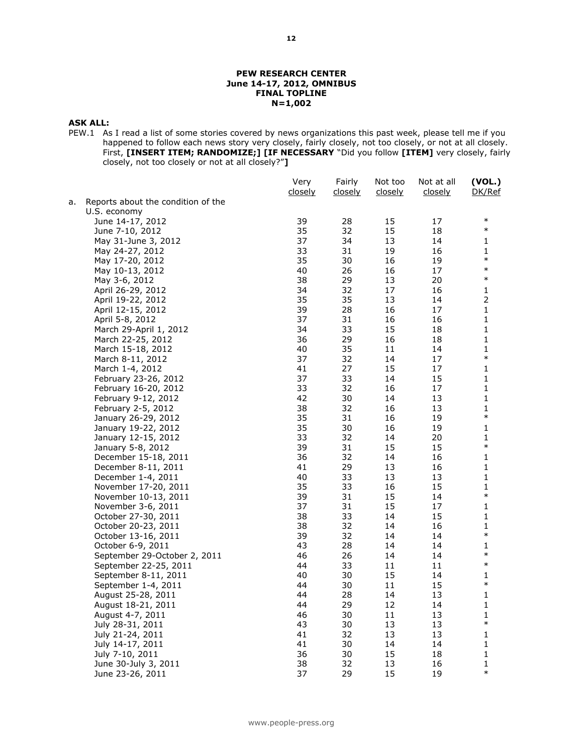#### **PEW RESEARCH CENTER June 14-17, 2012, OMNIBUS FINAL TOPLINE N=1,002**

#### **ASK ALL:**

PEW.1 As I read a list of some stories covered by news organizations this past week, please tell me if you happened to follow each news story very closely, fairly closely, not too closely, or not at all closely. First, **[INSERT ITEM; RANDOMIZE;] [IF NECESSARY** "Did you follow **[ITEM]** very closely, fairly closely, not too closely or not at all closely?"**]**

|    |                                    | Very<br>closely | Fairly<br>closely | Not too<br>closely | Not at all<br>closely | (VOL.)<br>DK/Ref |
|----|------------------------------------|-----------------|-------------------|--------------------|-----------------------|------------------|
| а. | Reports about the condition of the |                 |                   |                    |                       |                  |
|    | U.S. economy                       |                 |                   |                    |                       |                  |
|    | June 14-17, 2012                   | 39              | 28                | 15                 | 17                    | $\ast$           |
|    | June 7-10, 2012                    | 35              | 32                | 15                 | 18                    | $\ast$           |
|    | May 31-June 3, 2012                | 37              | 34                | 13                 | 14                    | 1                |
|    | May 24-27, 2012                    | 33              | 31                | 19                 | 16                    | $\mathbf{1}$     |
|    | May 17-20, 2012                    | 35              | 30                | 16                 | 19                    | $\ast$           |
|    | May 10-13, 2012                    | 40              | 26                | 16                 | 17                    | $\ast$           |
|    | May 3-6, 2012                      | 38              | 29                | 13                 | 20                    | $\ast$           |
|    | April 26-29, 2012                  | 34              | 32                | 17                 | 16                    | 1                |
|    | April 19-22, 2012                  | 35              | 35                | 13                 | 14                    | $\overline{2}$   |
|    | April 12-15, 2012                  | 39              | 28                | 16                 | 17                    | $\mathbf{1}$     |
|    | April 5-8, 2012                    | 37              | 31                | 16                 | 16                    | $\mathbf 1$      |
|    | March 29-April 1, 2012             | 34              | 33                | 15                 | 18                    | 1                |
|    | March 22-25, 2012                  | 36              | 29                | 16                 | 18                    | 1                |
|    | March 15-18, 2012                  | 40              | 35                | 11                 | 14                    | 1                |
|    | March 8-11, 2012                   | 37              | 32                | 14                 | 17                    | $\ast$           |
|    | March 1-4, 2012                    | 41              | 27                | 15                 | 17                    | 1                |
|    | February 23-26, 2012               | 37              | 33                | 14                 | 15                    | 1                |
|    | February 16-20, 2012               | 33              | 32                | 16                 | 17                    | 1                |
|    | February 9-12, 2012                | 42              | 30                | 14                 | 13                    | 1                |
|    | February 2-5, 2012                 | 38              | 32                | 16                 | 13                    | 1                |
|    | January 26-29, 2012                | 35              | 31                | 16                 | 19                    | $\ast$           |
|    | January 19-22, 2012                | 35              | 30                | 16                 | 19                    | $\mathbf{1}$     |
|    | January 12-15, 2012                | 33              | 32                | 14                 | 20                    | 1                |
|    | January 5-8, 2012                  | 39              | 31                | 15                 | 15                    | $\ast$           |
|    | December 15-18, 2011               | 36              | 32                | 14                 | 16                    | 1                |
|    | December 8-11, 2011                | 41              | 29                | 13                 | 16                    | 1                |
|    | December 1-4, 2011                 | 40              | 33                | 13                 | 13                    | 1                |
|    | November 17-20, 2011               | 35              | 33                | 16                 | 15                    | $\mathbf{1}$     |
|    | November 10-13, 2011               | 39              | 31                | 15                 | 14                    | $\ast$           |
|    | November 3-6, 2011                 | 37              | 31                | 15                 | 17                    | 1                |
|    | October 27-30, 2011                | 38              | 33                | 14                 | 15                    | 1                |
|    | October 20-23, 2011                | 38              | 32                | 14                 | 16                    | 1                |
|    | October 13-16, 2011                | 39              | 32                | 14                 | 14                    | $\ast$           |
|    | October 6-9, 2011                  | 43              | 28                | 14                 | 14                    | 1                |
|    | September 29-October 2, 2011       | 46              | 26                | 14                 | 14                    | $\ast$           |
|    | September 22-25, 2011              | 44              | 33                | 11                 | 11                    | $\ast$           |
|    | September 8-11, 2011               | 40              | 30                | 15                 | 14                    | 1                |
|    | September 1-4, 2011                | 44              | 30                | 11                 | 15                    | $\ast$           |
|    | August 25-28, 2011                 | 44              | 28                | 14                 | 13                    | 1                |
|    | August 18-21, 2011                 | 44              | 29                | 12                 | 14                    | $\mathbf{1}$     |
|    | August 4-7, 2011                   | 46              | 30                | 11                 | 13                    | 1                |
|    | July 28-31, 2011                   | 43              | 30                | 13                 | 13                    | $\ast$           |
|    | July 21-24, 2011                   | 41              | 32                | 13                 | 13                    | 1                |
|    | July 14-17, 2011                   | 41              | 30                | 14                 | 14                    | 1                |
|    | July 7-10, 2011                    | 36              | 30                | 15                 | 18                    | 1                |
|    | June 30-July 3, 2011               | 38              | 32                | 13                 | 16                    | 1                |
|    | June 23-26, 2011                   | 37              | 29                | 15                 | 19                    | $\ast$           |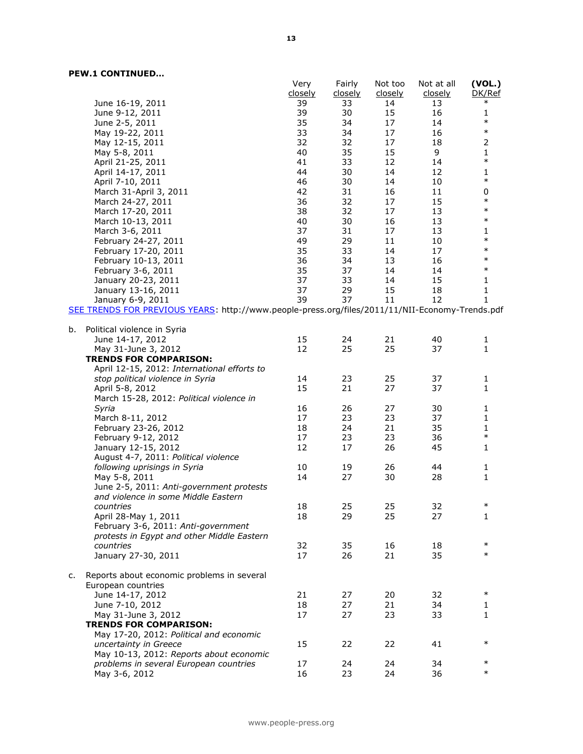|    |                                                                                                 | Very<br>closely | Fairly<br>closely | Not too<br><u>closely</u> | Not at all<br>closely | (VOL.)<br>DK/Ref |
|----|-------------------------------------------------------------------------------------------------|-----------------|-------------------|---------------------------|-----------------------|------------------|
|    | June 16-19, 2011                                                                                | 39              | 33                | 14                        | 13                    | $\ast$           |
|    | June 9-12, 2011                                                                                 | 39              | 30                | 15                        | 16                    | 1                |
|    | June 2-5, 2011                                                                                  | 35              | 34                | 17                        | 14                    | $\ast$           |
|    | May 19-22, 2011                                                                                 | 33              | 34                | 17                        | 16                    | $\ast$           |
|    | May 12-15, 2011                                                                                 | 32              | 32                | 17                        | 18                    | $\mathbf 2$      |
|    | May 5-8, 2011                                                                                   | 40              | 35                | 15                        | 9                     | $\mathbf{1}$     |
|    | April 21-25, 2011                                                                               | 41              | 33                | 12                        | 14                    | $\ast$           |
|    | April 14-17, 2011                                                                               | 44              | 30                | 14                        | 12                    | $\mathbf{1}$     |
|    | April 7-10, 2011                                                                                | 46              | 30                | 14                        | 10                    | $\ast$           |
|    | March 31-April 3, 2011                                                                          | 42              | 31                | 16                        | 11                    | 0                |
|    | March 24-27, 2011                                                                               | 36              | 32                | 17                        | 15                    | $\ast$           |
|    | March 17-20, 2011                                                                               | 38              | 32                | 17                        | 13                    | $\ast$           |
|    | March 10-13, 2011                                                                               | 40              | 30                | 16                        | 13                    | $\ast$           |
|    | March 3-6, 2011                                                                                 | 37              | 31                | 17                        | 13                    | 1                |
|    | February 24-27, 2011                                                                            | 49              | 29                | 11                        | 10                    | $\ast$           |
|    | February 17-20, 2011                                                                            | 35              | 33                | 14                        | 17                    | $\ast$           |
|    | February 10-13, 2011                                                                            | 36              | 34                | 13                        | 16                    | $\ast$           |
|    | February 3-6, 2011                                                                              | 35              | 37                | 14                        | 14                    | $\ast$           |
|    | January 20-23, 2011                                                                             | 37              | 33                | 14                        | 15                    | 1                |
|    | January 13-16, 2011                                                                             | 37              | 29                | 15                        | 18                    | 1                |
|    | January 6-9, 2011                                                                               | 39              | 37                | 11                        | 12                    | 1                |
|    | SEE TRENDS FOR PREVIOUS YEARS: http://www.people-press.org/files/2011/11/NII-Economy-Trends.pdf |                 |                   |                           |                       |                  |
| b. | Political violence in Syria                                                                     |                 |                   |                           |                       |                  |
|    | June 14-17, 2012                                                                                | 15<br>12        | 24<br>25          | 21<br>25                  | 40<br>37              | 1<br>1           |
|    | May 31-June 3, 2012                                                                             |                 |                   |                           |                       |                  |
|    | <b>TRENDS FOR COMPARISON:</b><br>April 12-15, 2012: International efforts to                    |                 |                   |                           |                       |                  |
|    | stop political violence in Syria                                                                | 14              | 23                | 25                        | 37                    | 1                |
|    | April 5-8, 2012                                                                                 | 15              | 21                | 27                        | 37                    | 1                |
|    | March 15-28, 2012: Political violence in                                                        |                 |                   |                           |                       |                  |
|    | Syria                                                                                           | 16              | 26                | 27                        | 30                    | 1                |
|    | March 8-11, 2012                                                                                | 17              | 23                | 23                        | 37                    | $\mathbf{1}$     |
|    | February 23-26, 2012                                                                            | 18              | 24                | 21                        | 35                    | $\mathbf 1$      |
|    | February 9-12, 2012                                                                             | 17              | 23                | 23                        | 36                    | $\ast$           |
|    | January 12-15, 2012                                                                             | 12              | 17                | 26                        | 45                    | 1                |
|    | August 4-7, 2011: Political violence                                                            |                 |                   |                           |                       |                  |
|    | following uprisings in Syria                                                                    | 10              | 19                | 26                        | 44                    | 1                |
|    | May 5-8, 2011                                                                                   | 14              | 27                | 30                        | 28                    | 1                |
|    | June 2-5, 2011: Anti-government protests                                                        |                 |                   |                           |                       |                  |
|    | and violence in some Middle Eastern                                                             |                 |                   |                           |                       |                  |
|    | countries                                                                                       | 18              | 25                | 25                        | 32                    | $\ast$           |
|    | April 28-May 1, 2011                                                                            | 18              | 29                | 25                        | 27                    | 1                |
|    | February 3-6, 2011: Anti-government                                                             |                 |                   |                           |                       |                  |
|    | protests in Egypt and other Middle Eastern                                                      |                 |                   |                           |                       |                  |
|    | countries                                                                                       | 32              | 35                | 16                        | 18                    | $\ast$           |
|    | January 27-30, 2011                                                                             | 17              | 26                | 21                        | 35                    | $\ast$           |
|    |                                                                                                 |                 |                   |                           |                       |                  |
| c. | Reports about economic problems in several<br>European countries                                |                 |                   |                           |                       |                  |
|    | June 14-17, 2012                                                                                | 21              | 27                | 20                        | 32                    | $\ast$           |
|    | June 7-10, 2012                                                                                 | 18              | 27                | 21                        | 34                    | 1                |
|    | May 31-June 3, 2012                                                                             | 17              | 27                | 23                        | 33                    | 1                |
|    | <b>TRENDS FOR COMPARISON:</b>                                                                   |                 |                   |                           |                       |                  |
|    | May 17-20, 2012: Political and economic                                                         |                 |                   |                           |                       |                  |
|    | uncertainty in Greece                                                                           | 15              | 22                | 22                        | 41                    | $\ast$           |
|    | May 10-13, 2012: Reports about economic                                                         |                 |                   |                           |                       | $\ast$           |
|    | problems in several European countries                                                          | 17              | 24                | 24                        | 34                    | $\ast$           |
|    | May 3-6, 2012                                                                                   | 16              | 23                | 24                        | 36                    |                  |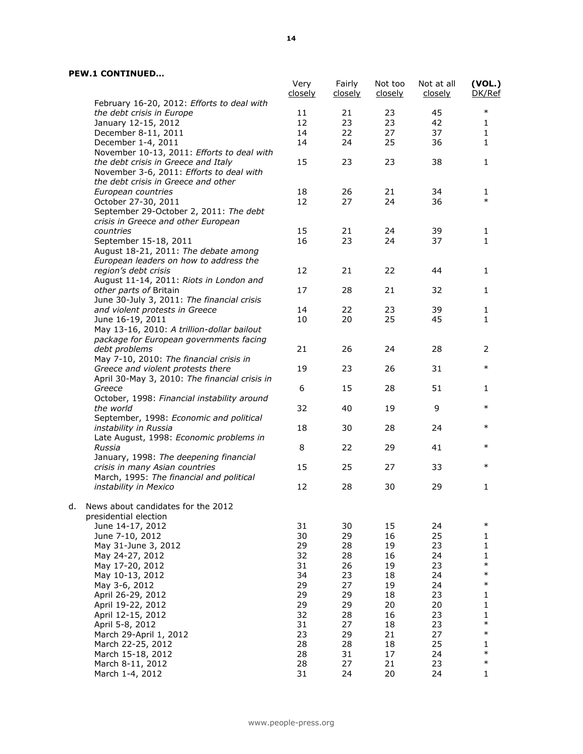|    |                                                                              | Very<br>closely | Fairly<br>closely | Not too<br>closely | Not at all<br>closely | (VOL.)<br>DK/Ref |
|----|------------------------------------------------------------------------------|-----------------|-------------------|--------------------|-----------------------|------------------|
|    | February 16-20, 2012: Efforts to deal with                                   |                 |                   |                    |                       |                  |
|    | the debt crisis in Europe                                                    | 11              | 21                | 23                 | 45                    | $\ast$           |
|    | January 12-15, 2012                                                          | 12              | 23                | 23                 | 42                    | 1                |
|    | December 8-11, 2011                                                          | 14              | 22                | 27                 | 37                    | $\mathbf{1}$     |
|    | December 1-4, 2011                                                           | 14              | 24                | 25                 | 36                    | 1                |
|    | November 10-13, 2011: Efforts to deal with                                   |                 |                   |                    |                       |                  |
|    | the debt crisis in Greece and Italy                                          | 15              | 23                | 23                 | 38                    | 1                |
|    | November 3-6, 2011: Efforts to deal with                                     |                 |                   |                    |                       |                  |
|    | the debt crisis in Greece and other                                          |                 |                   |                    |                       |                  |
|    | European countries                                                           | 18              | 26                | 21                 | 34                    | 1                |
|    | October 27-30, 2011                                                          | 12              | 27                | 24                 | 36                    | $\ast$           |
|    | September 29-October 2, 2011: The debt                                       |                 |                   |                    |                       |                  |
|    | crisis in Greece and other European                                          |                 |                   |                    |                       |                  |
|    | countries                                                                    | 15              | 21                | 24                 | 39                    | 1                |
|    | September 15-18, 2011                                                        | 16              | 23                | 24                 | 37                    | 1                |
|    | August 18-21, 2011: The debate among                                         |                 |                   |                    |                       |                  |
|    | European leaders on how to address the                                       |                 |                   |                    |                       |                  |
|    | region's debt crisis                                                         | 12              | 21                | 22                 | 44                    | 1                |
|    | August 11-14, 2011: Riots in London and                                      |                 |                   |                    |                       |                  |
|    | other parts of Britain                                                       | 17              | 28                | 21                 | 32                    | 1                |
|    | June 30-July 3, 2011: The financial crisis                                   |                 |                   |                    |                       |                  |
|    | and violent protests in Greece                                               | 14              | 22                | 23                 | 39                    | 1                |
|    | June 16-19, 2011                                                             | 10              | 20                | 25                 | 45                    | 1                |
|    | May 13-16, 2010: A trillion-dollar bailout                                   |                 |                   |                    |                       |                  |
|    | package for European governments facing                                      |                 |                   |                    |                       |                  |
|    | debt problems                                                                | 21              | 26                | 24                 | 28                    | 2                |
|    | May 7-10, 2010: The financial crisis in<br>Greece and violent protests there | 19              | 23                | 26                 | 31                    | $\ast$           |
|    | April 30-May 3, 2010: The financial crisis in                                |                 |                   |                    |                       |                  |
|    | Greece                                                                       | 6               | 15                | 28                 | 51                    | 1                |
|    | October, 1998: Financial instability around                                  |                 |                   |                    |                       |                  |
|    | the world                                                                    | 32              | 40                | 19                 | 9                     | $\ast$           |
|    | September, 1998: Economic and political                                      |                 |                   |                    |                       |                  |
|    | instability in Russia                                                        | 18              | 30                | 28                 | 24                    | $\ast$           |
|    | Late August, 1998: Economic problems in                                      |                 |                   |                    |                       |                  |
|    | Russia                                                                       | 8               | 22                | 29                 | 41                    | $\ast$           |
|    | January, 1998: The deepening financial                                       |                 |                   |                    |                       |                  |
|    | crisis in many Asian countries                                               | 15              | 25                | 27                 | 33                    | $\ast$           |
|    | March, 1995: The financial and political                                     |                 |                   |                    |                       |                  |
|    | instability in Mexico                                                        | 12              | 28                | 30                 | 29                    | 1                |
|    |                                                                              |                 |                   |                    |                       |                  |
| d. | News about candidates for the 2012                                           |                 |                   |                    |                       |                  |
|    | presidential election                                                        |                 |                   |                    |                       | $\ast$           |
|    | June 14-17, 2012                                                             | 31              | 30                | 15                 | 24                    |                  |
|    | June 7-10, 2012                                                              | 30              | 29                | 16                 | 25                    | 1                |
|    | May 31-June 3, 2012                                                          | 29<br>32        | 28<br>28          | 19<br>16           | 23<br>24              | 1<br>1           |
|    | May 24-27, 2012<br>May 17-20, 2012                                           | 31              | 26                | 19                 | 23                    | $\ast$           |
|    | May 10-13, 2012                                                              | 34              | 23                | 18                 | 24                    | $\ast$           |
|    | May 3-6, 2012                                                                | 29              | 27                | 19                 | 24                    | $\ast$           |
|    | April 26-29, 2012                                                            | 29              | 29                | 18                 | 23                    | 1                |
|    | April 19-22, 2012                                                            | 29              | 29                | 20                 | 20                    | 1                |
|    | April 12-15, 2012                                                            | 32              | 28                | 16                 | 23                    | 1                |
|    | April 5-8, 2012                                                              | 31              | 27                | 18                 | 23                    | $\ast$           |
|    | March 29-April 1, 2012                                                       | 23              | 29                | 21                 | 27                    | $\ast$           |
|    | March 22-25, 2012                                                            | 28              | 28                | 18                 | 25                    | 1                |
|    | March 15-18, 2012                                                            | 28              | 31                | 17                 | 24                    | $\ast$           |
|    | March 8-11, 2012                                                             | 28              | 27                | 21                 | 23                    | $\ast$           |
|    | March 1-4, 2012                                                              | 31              | 24                | 20                 | 24                    | 1                |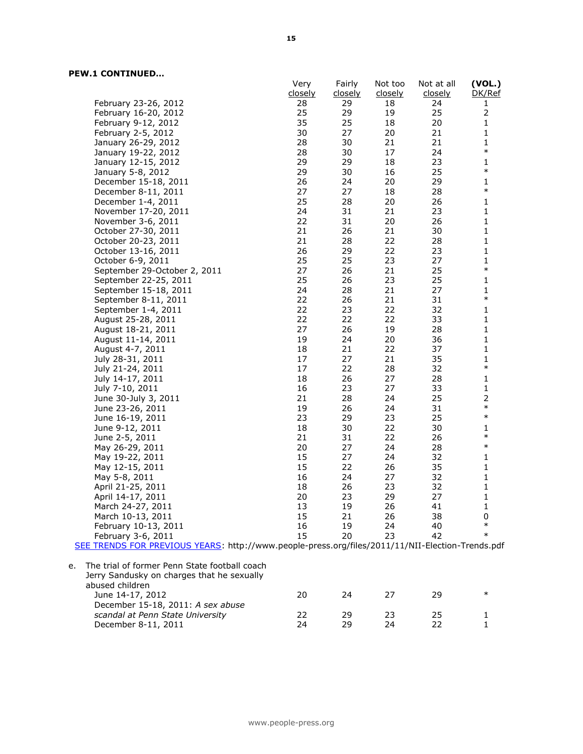|                                                                                                  | Very     | Fairly         | Not too        | Not at all     | (VOL.)         |
|--------------------------------------------------------------------------------------------------|----------|----------------|----------------|----------------|----------------|
|                                                                                                  | closely  | <u>closely</u> | <u>closely</u> | <u>closely</u> | DK/Ref         |
| February 23-26, 2012<br>February 16-20, 2012                                                     | 28<br>25 | 29<br>29       | 18<br>19       | 24<br>25       | 1<br>2         |
|                                                                                                  | 35       | 25             | 18             | 20             | $\mathbf{1}$   |
| February 9-12, 2012                                                                              | 30       | 27             | 20             | 21             | $\mathbf{1}$   |
| February 2-5, 2012                                                                               | 28       | 30             | 21             | 21             | $\mathbf{1}$   |
| January 26-29, 2012<br>January 19-22, 2012                                                       | 28       | 30             | 17             | 24             | $\ast$         |
| January 12-15, 2012                                                                              | 29       | 29             | 18             | 23             | $\mathbf{1}$   |
| January 5-8, 2012                                                                                | 29       | 30             | 16             | 25             | $\ast$         |
| December 15-18, 2011                                                                             | 26       | 24             | 20             | 29             | $\mathbf{1}$   |
| December 8-11, 2011                                                                              | 27       | 27             | 18             | 28             | $\ast$         |
| December 1-4, 2011                                                                               | 25       | 28             | 20             | 26             | 1              |
| November 17-20, 2011                                                                             | 24       | 31             | 21             | 23             | $\mathbf 1$    |
| November 3-6, 2011                                                                               | 22       | 31             | 20             | 26             | 1              |
| October 27-30, 2011                                                                              | 21       | 26             | 21             | 30             | 1              |
| October 20-23, 2011                                                                              | 21       | 28             | 22             | 28             | $\mathbf{1}$   |
| October 13-16, 2011                                                                              | 26       | 29             | 22             | 23             | $\mathbf 1$    |
| October 6-9, 2011                                                                                | 25       | 25             | 23             | 27             | 1              |
| September 29-October 2, 2011                                                                     | 27       | 26             | 21             | 25             | $\ast$         |
| September 22-25, 2011                                                                            | 25       | 26             | 23             | 25             | $\mathbf{1}$   |
| September 15-18, 2011                                                                            | 24       | 28             | 21             | 27             | $\mathbf{1}$   |
| September 8-11, 2011                                                                             | 22       | 26             | 21             | 31             | $\ast$         |
| September 1-4, 2011                                                                              | 22       | 23             | 22             | 32             | 1              |
| August 25-28, 2011                                                                               | 22       | 22             | 22             | 33             | $\mathbf 1$    |
| August 18-21, 2011                                                                               | 27       | 26             | 19             | 28             | 1              |
| August 11-14, 2011                                                                               | 19       | 24             | 20             | 36             | $\mathbf{1}$   |
| August 4-7, 2011                                                                                 | 18       | 21             | 22             | 37             | $\mathbf{1}$   |
| July 28-31, 2011                                                                                 | 17       | 27             | 21             | 35             | $\mathbf 1$    |
| July 21-24, 2011                                                                                 | 17       | 22             | 28             | 32             | $\ast$         |
| July 14-17, 2011                                                                                 | 18       | 26             | 27             | 28             | $\mathbf{1}$   |
| July 7-10, 2011                                                                                  | 16       | 23             | 27             | 33             | $\mathbf 1$    |
| June 30-July 3, 2011                                                                             | 21       | 28             | 24             | 25             | $\overline{2}$ |
| June 23-26, 2011                                                                                 | 19       | 26             | 24             | 31             | $\ast$         |
| June 16-19, 2011                                                                                 | 23       | 29             | 23             | 25             | $\ast$         |
| June 9-12, 2011                                                                                  | 18       | 30             | 22             | 30             | $\mathbf{1}$   |
| June 2-5, 2011                                                                                   | 21       | 31             | 22             | 26             | $\ast$         |
| May 26-29, 2011                                                                                  | 20       | 27             | 24             | 28             | $\ast$         |
| May 19-22, 2011                                                                                  | 15       | 27             | 24             | 32             | $\mathbf{1}$   |
| May 12-15, 2011                                                                                  | 15       | 22             | 26             | 35             | $\mathbf{1}$   |
| May 5-8, 2011                                                                                    | 16       | 24             | 27             | 32             | 1              |
| April 21-25, 2011                                                                                | 18       | 26             | 23             | 32             | 1              |
| April 14-17, 2011                                                                                | 20       | 23             | 29             | 27             | 1              |
| March 24-27, 2011                                                                                | 13       | 19             | 26             | 41             | 1              |
| March 10-13, 2011                                                                                | 15       | 21             | 26             | 38             | 0              |
| February 10-13, 2011                                                                             | 16       | 19             | 24             | 40             | $\ast$         |
| February 3-6, 2011                                                                               | 15       | 20             | 23             | 42             | $\ast$         |
| SEE TRENDS FOR PREVIOUS YEARS: http://www.people-press.org/files/2011/11/NII-Election-Trends.pdf |          |                |                |                |                |
| The trial of former Penn State football coach<br>e.                                              |          |                |                |                |                |
| Jerry Sandusky on charges that he sexually                                                       |          |                |                |                |                |
| abused children                                                                                  |          |                |                |                |                |
| June 14-17, 2012                                                                                 | 20       | 24             | 27             | 29             | $\ast$         |
| December 15-18, 2011: A sex abuse                                                                |          |                |                |                |                |
| scandal at Penn State University                                                                 | 22       | 29             | 23             | 25             | 1              |
| December 8-11, 2011                                                                              | 24       | 29             | 24             | 22             | 1              |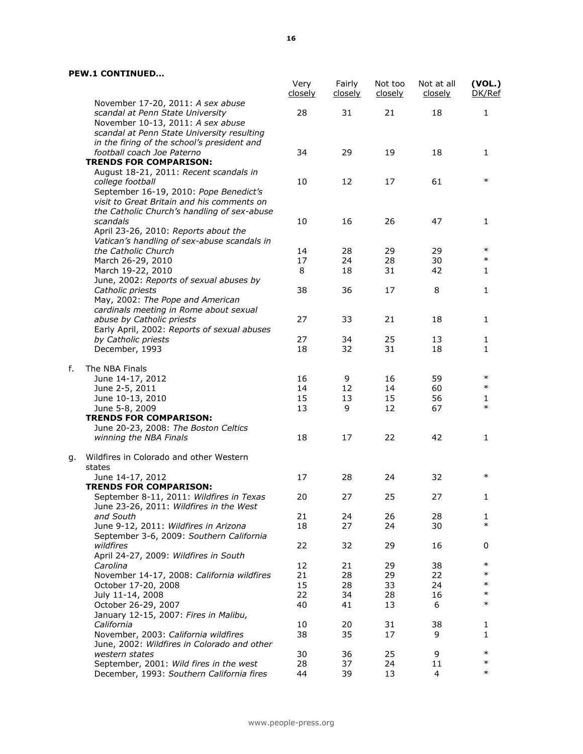|    |                                                                                                                                                              | Very<br>closely | Fairly<br>closely | Not too<br>closely | Not at all<br>closely | (VOL.)<br>DK/Ref |
|----|--------------------------------------------------------------------------------------------------------------------------------------------------------------|-----------------|-------------------|--------------------|-----------------------|------------------|
|    | November 17-20, 2011: A sex abuse<br>scandal at Penn State University                                                                                        | 28              | 31                | 21                 | 18                    | $\mathbf{1}$     |
|    | November 10-13, 2011: A sex abuse<br>scandal at Penn State University resulting<br>in the firing of the school's president and<br>football coach Joe Paterno | 34              | 29                | 19                 | 18                    | 1                |
|    | <b>TRENDS FOR COMPARISON:</b><br>August 18-21, 2011: Recent scandals in                                                                                      |                 |                   |                    |                       |                  |
|    | college football<br>September 16-19, 2010: Pope Benedict's<br>visit to Great Britain and his comments on<br>the Catholic Church's handling of sex-abuse      | 10              | 12                | 17                 | 61                    | $\ast$           |
|    | scandals<br>April 23-26, 2010: Reports about the<br>Vatican's handling of sex-abuse scandals in                                                              | 10              | 16                | 26                 | 47                    | 1                |
|    | the Catholic Church                                                                                                                                          | 14              | 28                | 29                 | 29                    | $\ast$           |
|    | March 26-29, 2010                                                                                                                                            | 17              | 24                | 28                 | 30                    | $\ast$           |
|    | March 19-22, 2010                                                                                                                                            | 8               | 18                | 31                 | 42                    | 1                |
|    | June, 2002: Reports of sexual abuses by<br>Catholic priests                                                                                                  | 38              | 36                | 17                 | 8                     | 1                |
|    | May, 2002: The Pope and American<br>cardinals meeting in Rome about sexual                                                                                   |                 |                   |                    |                       |                  |
|    | abuse by Catholic priests<br>Early April, 2002: Reports of sexual abuses                                                                                     | 27              | 33                | 21                 | 18                    | 1                |
|    | by Catholic priests<br>December, 1993                                                                                                                        | 27<br>18        | 34<br>32          | 25<br>31           | 13<br>18              | 1<br>1           |
| f. | The NBA Finals                                                                                                                                               |                 |                   |                    |                       | $\ast$           |
|    | June 14-17, 2012                                                                                                                                             | 16              | 9                 | 16                 | 59                    |                  |
|    | June 2-5, 2011                                                                                                                                               | 14              | 12                | 14                 | 60                    | $\ast$           |
|    | June 10-13, 2010                                                                                                                                             | 15              | 13                | 15                 | 56                    | 1<br>$\ast$      |
|    | June 5-8, 2009                                                                                                                                               | 13              | 9                 | 12                 | 67                    |                  |
|    | <b>TRENDS FOR COMPARISON:</b>                                                                                                                                |                 |                   |                    |                       |                  |
|    | June 20-23, 2008: The Boston Celtics<br>winning the NBA Finals                                                                                               | 18              | 17                | 22                 | 42                    | 1                |
| g. | Wildfires in Colorado and other Western                                                                                                                      |                 |                   |                    |                       |                  |
|    | states<br>June 14-17, 2012                                                                                                                                   | 17              | 28                | 24                 | 32                    | $\ast$           |
|    | <b>TRENDS FOR COMPARISON:</b>                                                                                                                                |                 |                   |                    |                       |                  |
|    | September 8-11, 2011: Wildfires in Texas<br>June 23-26, 2011: Wildfires in the West                                                                          | 20              | 27                | 25                 | 27                    | 1                |
|    | and South                                                                                                                                                    | 21              | 24                | 26                 | 28                    | 1                |
|    | June 9-12, 2011: Wildfires in Arizona                                                                                                                        | 18              | 27                | 24                 | 30                    | $\ast$           |
|    | September 3-6, 2009: Southern California<br>wildfires                                                                                                        | 22              | 32                | 29                 | 16                    | 0                |
|    | April 24-27, 2009: Wildfires in South<br>Carolina                                                                                                            |                 |                   |                    |                       | $\ast$           |
|    |                                                                                                                                                              | 12              | 21                | 29                 | 38                    | $\ast$           |
|    | November 14-17, 2008: California wildfires                                                                                                                   | 21              | 28                | 29                 | 22                    | $\ast$           |
|    | October 17-20, 2008                                                                                                                                          | 15              | 28                | 33                 | 24                    | $\ast$           |
|    | July 11-14, 2008                                                                                                                                             | 22              | 34                | 28                 | 16                    | $\ast$           |
|    | October 26-29, 2007<br>January 12-15, 2007: Fires in Malibu,                                                                                                 | 40              | 41                | 13                 | 6                     |                  |
|    | California                                                                                                                                                   | 10              | 20                | 31                 | 38                    | 1                |
|    | November, 2003: California wildfires<br>June, 2002: Wildfires in Colorado and other                                                                          | 38              | 35                | 17                 | 9                     | 1                |
|    | western states                                                                                                                                               | 30              | 36                | 25                 | 9                     | $\ast$           |
|    | September, 2001: Wild fires in the west                                                                                                                      | 28              | 37                | 24                 | 11                    | $\ast$           |
|    | December, 1993: Southern California fires                                                                                                                    | 44              | 39                | 13                 | 4                     | $\ast$           |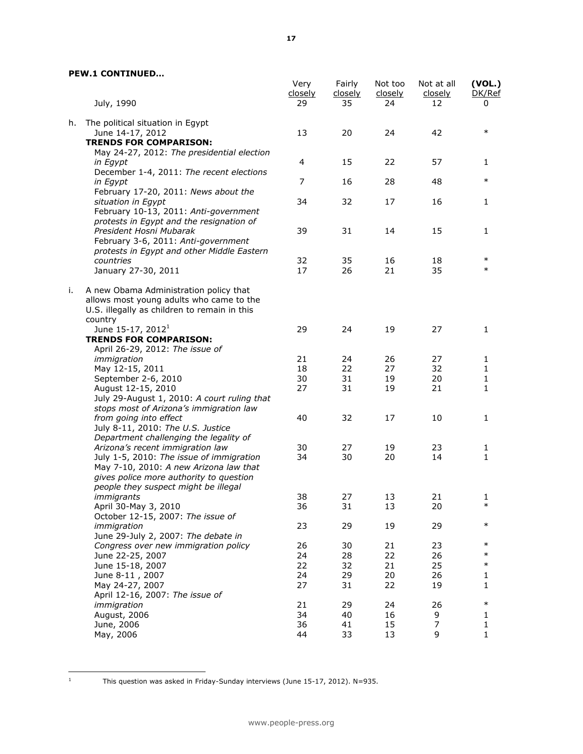|    | July, 1990                                                                                                                                    | Very<br>closely<br>29 | Fairly<br>closely<br>35 | Not too<br>closely<br>24 | Not at all<br>closely<br>12 | (VOL.)<br>DK/Ref<br>0 |
|----|-----------------------------------------------------------------------------------------------------------------------------------------------|-----------------------|-------------------------|--------------------------|-----------------------------|-----------------------|
| h. | The political situation in Egypt<br>June 14-17, 2012                                                                                          | 13                    | 20                      | 24                       | 42                          | $\ast$                |
|    | <b>TRENDS FOR COMPARISON:</b><br>May 24-27, 2012: The presidential election                                                                   |                       |                         |                          |                             |                       |
|    | in Egypt<br>December 1-4, 2011: The recent elections                                                                                          | 4                     | 15                      | 22                       | 57                          | 1                     |
|    | in Egypt<br>February 17-20, 2011: News about the                                                                                              | $\overline{7}$        | 16                      | 28                       | 48                          | $\ast$                |
|    | situation in Egypt<br>February 10-13, 2011: Anti-government<br>protests in Egypt and the resignation of                                       | 34                    | 32                      | 17                       | 16                          | 1                     |
|    | President Hosni Mubarak<br>February 3-6, 2011: Anti-government<br>protests in Egypt and other Middle Eastern                                  | 39                    | 31                      | 14                       | 15                          | 1                     |
|    | countries                                                                                                                                     | 32                    | 35                      | 16                       | 18                          | $\ast$                |
|    | January 27-30, 2011                                                                                                                           | 17                    | 26                      | 21                       | 35                          | $\ast$                |
| i. | A new Obama Administration policy that<br>allows most young adults who came to the<br>U.S. illegally as children to remain in this<br>country |                       |                         |                          |                             |                       |
|    | June 15-17, 2012 <sup>1</sup>                                                                                                                 | 29                    | 24                      | 19                       | 27                          | 1                     |
|    | <b>TRENDS FOR COMPARISON:</b>                                                                                                                 |                       |                         |                          |                             |                       |
|    | April 26-29, 2012: The issue of                                                                                                               |                       |                         |                          |                             |                       |
|    | immigration                                                                                                                                   | 21                    | 24                      | 26                       | 27                          | 1                     |
|    | May 12-15, 2011                                                                                                                               | 18                    | 22                      | 27                       | 32                          | 1                     |
|    | September 2-6, 2010                                                                                                                           | 30                    | 31                      | 19                       | 20                          | 1                     |
|    | August 12-15, 2010<br>July 29-August 1, 2010: A court ruling that                                                                             | 27                    | 31                      | 19                       | 21                          | $\mathbf{1}$          |
|    | stops most of Arizona's immigration law                                                                                                       |                       |                         |                          |                             |                       |
|    | from going into effect                                                                                                                        | 40                    | 32                      | 17                       | 10                          | 1                     |
|    | July 8-11, 2010: The U.S. Justice                                                                                                             |                       |                         |                          |                             |                       |
|    | Department challenging the legality of                                                                                                        |                       |                         |                          |                             |                       |
|    | Arizona's recent immigration law                                                                                                              | 30                    | 27                      | 19                       | 23                          | 1                     |
|    | July 1-5, 2010: The issue of immigration                                                                                                      | 34                    | 30                      | 20                       | 14                          | $\mathbf{1}$          |
|    | May 7-10, 2010: A new Arizona law that                                                                                                        |                       |                         |                          |                             |                       |
|    | gives police more authority to question<br>people they suspect might be illegal                                                               |                       |                         |                          |                             |                       |
|    | <i>immigrants</i>                                                                                                                             | 38                    | 27                      | 13                       | 21                          | 1                     |
|    | April 30-May 3, 2010                                                                                                                          | 36                    | 31                      | 13                       | 20                          | $\ast$                |
|    | October 12-15, 2007: The issue of                                                                                                             |                       |                         |                          |                             |                       |
|    | immigration                                                                                                                                   | 23                    | 29                      | 19                       | 29                          | $\ast$                |
|    | June 29-July 2, 2007: The debate in                                                                                                           |                       |                         |                          |                             |                       |
|    | Congress over new immigration policy                                                                                                          | 26                    | 30                      | 21                       | 23                          | $\ast$                |
|    | June 22-25, 2007                                                                                                                              | 24                    | 28                      | 22                       | 26                          | $\ast$                |
|    | June 15-18, 2007                                                                                                                              | 22                    | 32                      | 21                       | 25                          | $\ast$                |
|    | June 8-11, 2007                                                                                                                               | 24                    | 29                      | 20                       | 26                          | 1                     |
|    | May 24-27, 2007                                                                                                                               | 27                    | 31                      | 22                       | 19                          | 1                     |
|    | April 12-16, 2007: The issue of                                                                                                               |                       |                         |                          |                             |                       |
|    | immigration                                                                                                                                   | 21                    | 29                      | 24                       | 26                          | $\ast$                |
|    | August, 2006                                                                                                                                  | 34                    | 40                      | 16                       | 9                           | 1                     |
|    | June, 2006                                                                                                                                    | 36                    | 41                      | 15                       | 7                           | 1                     |
|    | May, 2006                                                                                                                                     | 44                    | 33                      | 13                       | 9                           | 1                     |

 $\mathbf{1}^{\top}$ 

<sup>1</sup> This question was asked in Friday-Sunday interviews (June 15-17, 2012). N=935.